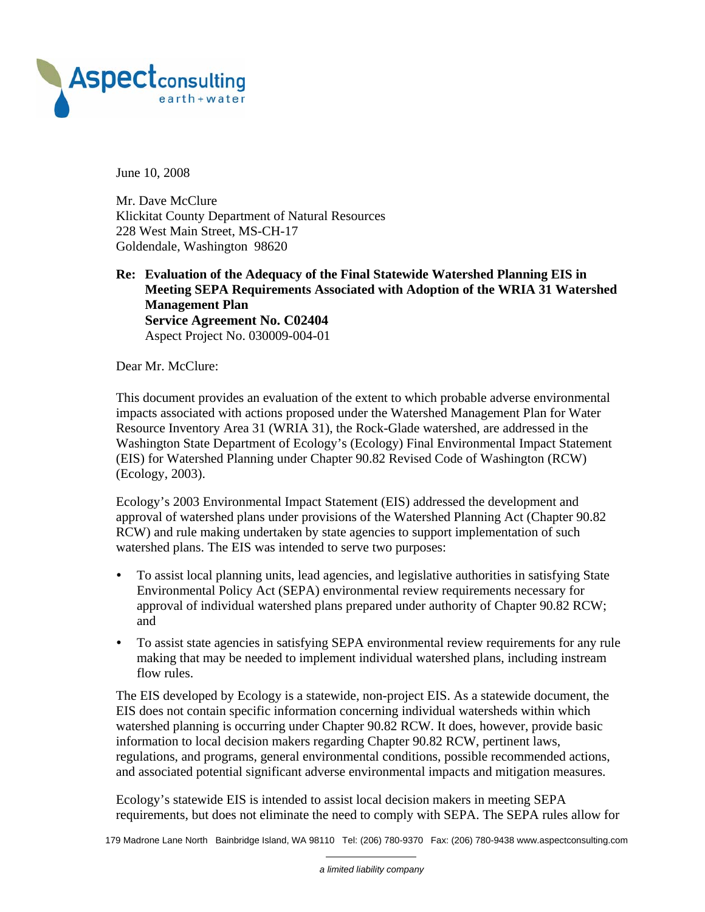

June 10, 2008

Mr. Dave McClure Klickitat County Department of Natural Resources 228 West Main Street, MS-CH-17 Goldendale, Washington 98620

#### **Re: Evaluation of the Adequacy of the Final Statewide Watershed Planning EIS in Meeting SEPA Requirements Associated with Adoption of the WRIA 31 Watershed Management Plan Service Agreement No. C02404**  Aspect Project No. 030009-004-01

Dear Mr. McClure:

This document provides an evaluation of the extent to which probable adverse environmental impacts associated with actions proposed under the Watershed Management Plan for Water Resource Inventory Area 31 (WRIA 31), the Rock-Glade watershed, are addressed in the Washington State Department of Ecology's (Ecology) Final Environmental Impact Statement (EIS) for Watershed Planning under Chapter 90.82 Revised Code of Washington (RCW) (Ecology, 2003).

Ecology's 2003 Environmental Impact Statement (EIS) addressed the development and approval of watershed plans under provisions of the Watershed Planning Act (Chapter 90.82 RCW) and rule making undertaken by state agencies to support implementation of such watershed plans. The EIS was intended to serve two purposes:

- To assist local planning units, lead agencies, and legislative authorities in satisfying State Environmental Policy Act (SEPA) environmental review requirements necessary for approval of individual watershed plans prepared under authority of Chapter 90.82 RCW; and
- To assist state agencies in satisfying SEPA environmental review requirements for any rule making that may be needed to implement individual watershed plans, including instream flow rules.

The EIS developed by Ecology is a statewide, non-project EIS. As a statewide document, the EIS does not contain specific information concerning individual watersheds within which watershed planning is occurring under Chapter 90.82 RCW. It does, however, provide basic information to local decision makers regarding Chapter 90.82 RCW, pertinent laws, regulations, and programs, general environmental conditions, possible recommended actions, and associated potential significant adverse environmental impacts and mitigation measures.

Ecology's statewide EIS is intended to assist local decision makers in meeting SEPA requirements, but does not eliminate the need to comply with SEPA. The SEPA rules allow for

179 Madrone Lane North Bainbridge Island, WA 98110 Tel: (206) 780-9370 Fax: (206) 780-9438 www.aspectconsulting.com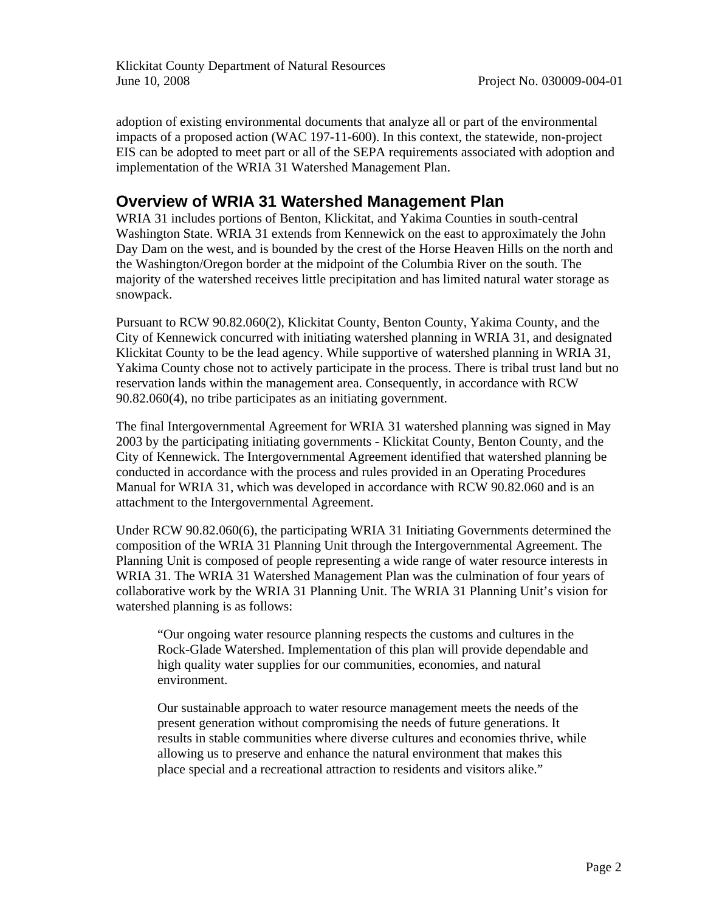Klickitat County Department of Natural Resources June 10, 2008 Project No. 030009-004-01

adoption of existing environmental documents that analyze all or part of the environmental impacts of a proposed action (WAC 197-11-600). In this context, the statewide, non-project EIS can be adopted to meet part or all of the SEPA requirements associated with adoption and implementation of the WRIA 31 Watershed Management Plan.

#### **Overview of WRIA 31 Watershed Management Plan**

WRIA 31 includes portions of Benton, Klickitat, and Yakima Counties in south-central Washington State. WRIA 31 extends from Kennewick on the east to approximately the John Day Dam on the west, and is bounded by the crest of the Horse Heaven Hills on the north and the Washington/Oregon border at the midpoint of the Columbia River on the south. The majority of the watershed receives little precipitation and has limited natural water storage as snowpack.

Pursuant to RCW 90.82.060(2), Klickitat County, Benton County, Yakima County, and the City of Kennewick concurred with initiating watershed planning in WRIA 31, and designated Klickitat County to be the lead agency. While supportive of watershed planning in WRIA 31, Yakima County chose not to actively participate in the process. There is tribal trust land but no reservation lands within the management area. Consequently, in accordance with RCW 90.82.060(4), no tribe participates as an initiating government.

The final Intergovernmental Agreement for WRIA 31 watershed planning was signed in May 2003 by the participating initiating governments - Klickitat County, Benton County, and the City of Kennewick. The Intergovernmental Agreement identified that watershed planning be conducted in accordance with the process and rules provided in an Operating Procedures Manual for WRIA 31, which was developed in accordance with RCW 90.82.060 and is an attachment to the Intergovernmental Agreement.

Under RCW 90.82.060(6), the participating WRIA 31 Initiating Governments determined the composition of the WRIA 31 Planning Unit through the Intergovernmental Agreement. The Planning Unit is composed of people representing a wide range of water resource interests in WRIA 31. The WRIA 31 Watershed Management Plan was the culmination of four years of collaborative work by the WRIA 31 Planning Unit. The WRIA 31 Planning Unit's vision for watershed planning is as follows:

"Our ongoing water resource planning respects the customs and cultures in the Rock-Glade Watershed. Implementation of this plan will provide dependable and high quality water supplies for our communities, economies, and natural environment.

Our sustainable approach to water resource management meets the needs of the present generation without compromising the needs of future generations. It results in stable communities where diverse cultures and economies thrive, while allowing us to preserve and enhance the natural environment that makes this place special and a recreational attraction to residents and visitors alike."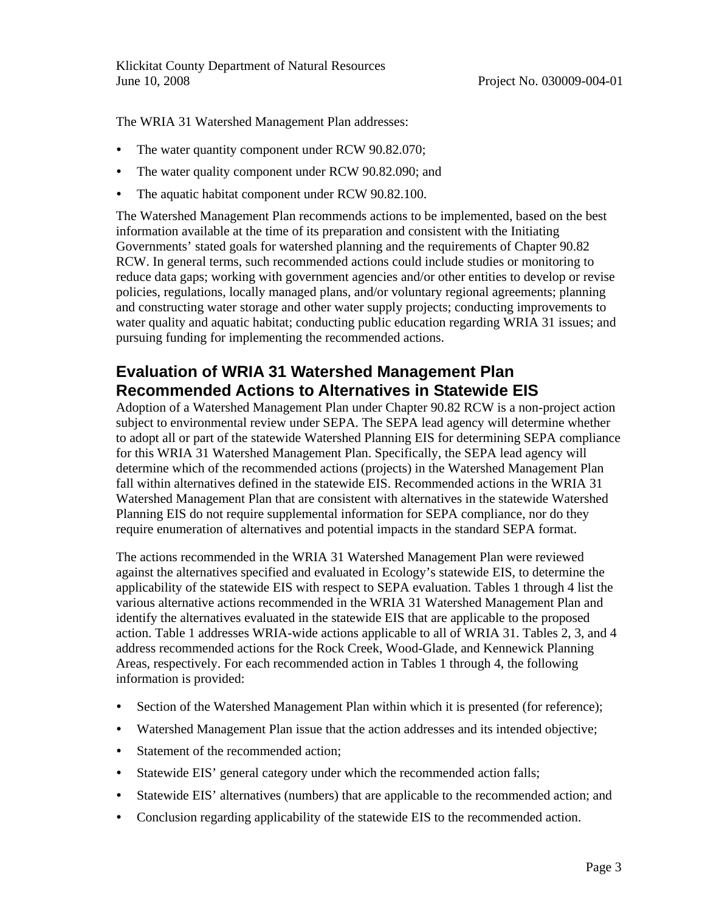The WRIA 31 Watershed Management Plan addresses:

- The water quantity component under RCW 90.82.070;
- The water quality component under RCW 90.82.090; and
- The aquatic habitat component under RCW 90.82.100.

The Watershed Management Plan recommends actions to be implemented, based on the best information available at the time of its preparation and consistent with the Initiating Governments' stated goals for watershed planning and the requirements of Chapter 90.82 RCW. In general terms, such recommended actions could include studies or monitoring to reduce data gaps; working with government agencies and/or other entities to develop or revise policies, regulations, locally managed plans, and/or voluntary regional agreements; planning and constructing water storage and other water supply projects; conducting improvements to water quality and aquatic habitat; conducting public education regarding WRIA 31 issues; and pursuing funding for implementing the recommended actions.

## **Evaluation of WRIA 31 Watershed Management Plan Recommended Actions to Alternatives in Statewide EIS**

Adoption of a Watershed Management Plan under Chapter 90.82 RCW is a non-project action subject to environmental review under SEPA. The SEPA lead agency will determine whether to adopt all or part of the statewide Watershed Planning EIS for determining SEPA compliance for this WRIA 31 Watershed Management Plan. Specifically, the SEPA lead agency will determine which of the recommended actions (projects) in the Watershed Management Plan fall within alternatives defined in the statewide EIS. Recommended actions in the WRIA 31 Watershed Management Plan that are consistent with alternatives in the statewide Watershed Planning EIS do not require supplemental information for SEPA compliance, nor do they require enumeration of alternatives and potential impacts in the standard SEPA format.

The actions recommended in the WRIA 31 Watershed Management Plan were reviewed against the alternatives specified and evaluated in Ecology's statewide EIS, to determine the applicability of the statewide EIS with respect to SEPA evaluation. Tables 1 through 4 list the various alternative actions recommended in the WRIA 31 Watershed Management Plan and identify the alternatives evaluated in the statewide EIS that are applicable to the proposed action. Table 1 addresses WRIA-wide actions applicable to all of WRIA 31. Tables 2, 3, and 4 address recommended actions for the Rock Creek, Wood-Glade, and Kennewick Planning Areas, respectively. For each recommended action in Tables 1 through 4, the following information is provided:

- Section of the Watershed Management Plan within which it is presented (for reference);
- Watershed Management Plan issue that the action addresses and its intended objective;
- Statement of the recommended action;
- Statewide EIS' general category under which the recommended action falls;
- Statewide EIS' alternatives (numbers) that are applicable to the recommended action; and
- Conclusion regarding applicability of the statewide EIS to the recommended action.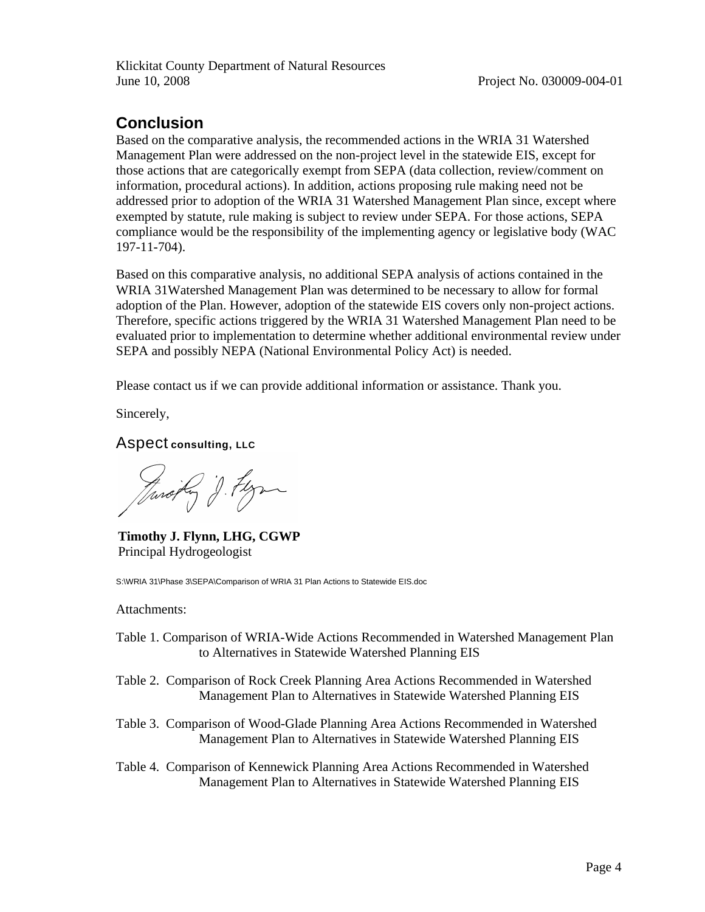# **Conclusion**

Based on the comparative analysis, the recommended actions in the WRIA 31 Watershed Management Plan were addressed on the non-project level in the statewide EIS, except for those actions that are categorically exempt from SEPA (data collection, review/comment on information, procedural actions). In addition, actions proposing rule making need not be addressed prior to adoption of the WRIA 31 Watershed Management Plan since, except where exempted by statute, rule making is subject to review under SEPA. For those actions, SEPA compliance would be the responsibility of the implementing agency or legislative body (WAC 197-11-704).

Based on this comparative analysis, no additional SEPA analysis of actions contained in the WRIA 31Watershed Management Plan was determined to be necessary to allow for formal adoption of the Plan. However, adoption of the statewide EIS covers only non-project actions. Therefore, specific actions triggered by the WRIA 31 Watershed Management Plan need to be evaluated prior to implementation to determine whether additional environmental review under SEPA and possibly NEPA (National Environmental Policy Act) is needed.

Please contact us if we can provide additional information or assistance. Thank you.

Sincerely,

Aspect **consulting, LLC**

Jarojty J. Flyn

**Timothy J. Flynn, LHG, CGWP** Principal Hydrogeologist

S:\WRIA 31\Phase 3\SEPA\Comparison of WRIA 31 Plan Actions to Statewide EIS.doc

Attachments:

- Table 1. Comparison of WRIA-Wide Actions Recommended in Watershed Management Plan to Alternatives in Statewide Watershed Planning EIS
- Table 2. Comparison of Rock Creek Planning Area Actions Recommended in Watershed Management Plan to Alternatives in Statewide Watershed Planning EIS
- Table 3. Comparison of Wood-Glade Planning Area Actions Recommended in Watershed Management Plan to Alternatives in Statewide Watershed Planning EIS
- Table 4. Comparison of Kennewick Planning Area Actions Recommended in Watershed Management Plan to Alternatives in Statewide Watershed Planning EIS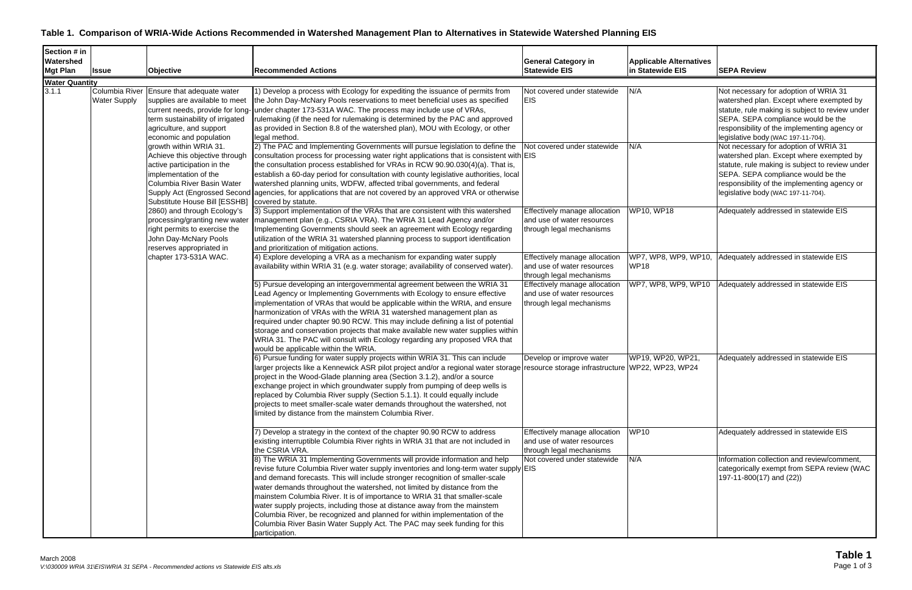#### **Table 1. Comparison of WRIA-Wide Actions Recommended in Watershed Management Plan to Alternatives in Statewide Watershed Planning EIS**

| Section # in          |                                       |                                                                                                                                                                                                                 |                                                                                                                                                                                                                                                                                                                                                                                                                                                                                                                                                                                                                                                                                                                                                                                                                                       |                                                                                                                        |                                     |                                                                                                                                                                                                                                                                  |
|-----------------------|---------------------------------------|-----------------------------------------------------------------------------------------------------------------------------------------------------------------------------------------------------------------|---------------------------------------------------------------------------------------------------------------------------------------------------------------------------------------------------------------------------------------------------------------------------------------------------------------------------------------------------------------------------------------------------------------------------------------------------------------------------------------------------------------------------------------------------------------------------------------------------------------------------------------------------------------------------------------------------------------------------------------------------------------------------------------------------------------------------------------|------------------------------------------------------------------------------------------------------------------------|-------------------------------------|------------------------------------------------------------------------------------------------------------------------------------------------------------------------------------------------------------------------------------------------------------------|
| Watershed             |                                       |                                                                                                                                                                                                                 |                                                                                                                                                                                                                                                                                                                                                                                                                                                                                                                                                                                                                                                                                                                                                                                                                                       | <b>General Category in</b>                                                                                             | <b>Applicable Alternatives</b>      |                                                                                                                                                                                                                                                                  |
| <b>Mgt Plan</b>       | <b>Issue</b>                          | Objective                                                                                                                                                                                                       | <b>Recommended Actions</b>                                                                                                                                                                                                                                                                                                                                                                                                                                                                                                                                                                                                                                                                                                                                                                                                            | <b>Statewide EIS</b>                                                                                                   | In Statewide EIS                    | <b>SEPA Review</b>                                                                                                                                                                                                                                               |
| <b>Water Quantity</b> |                                       |                                                                                                                                                                                                                 |                                                                                                                                                                                                                                                                                                                                                                                                                                                                                                                                                                                                                                                                                                                                                                                                                                       |                                                                                                                        |                                     |                                                                                                                                                                                                                                                                  |
| 3.1.1                 | Columbia River<br><b>Water Supply</b> | Ensure that adequate water<br>supplies are available to meet<br>current needs, provide for long<br>term sustainability of irrigated<br>agriculture, and support<br>economic and population                      | 1) Develop a process with Ecology for expediting the issuance of permits from<br>the John Day-McNary Pools reservations to meet beneficial uses as specified<br>under chapter 173-531A WAC. The process may include use of VRAs,<br>rulemaking (if the need for rulemaking is determined by the PAC and approved<br>as provided in Section 8.8 of the watershed plan), MOU with Ecology, or other<br>legal method.                                                                                                                                                                                                                                                                                                                                                                                                                    | Not covered under statewide<br><b>EIS</b>                                                                              | N/A                                 | Not necessary for adoption of WRIA 31<br>watershed plan. Except where exempted by<br>statute, rule making is subject to review under<br>SEPA. SEPA compliance would be the<br>responsibility of the implementing agency or<br>legislative body (WAC 197-11-704). |
|                       |                                       | growth within WRIA 31.<br>Achieve this objective through<br>active participation in the<br>implementation of the<br>Columbia River Basin Water<br>Supply Act (Engrossed Second<br>Substitute House Bill [ESSHB] | 2) The PAC and Implementing Governments will pursue legislation to define the<br>consultation process for processing water right applications that is consistent with EIS<br>the consultation process established for VRAs in RCW 90.90.030(4)(a). That is,<br>establish a 60-day period for consultation with county legislative authorities, local<br>watershed planning units, WDFW, affected tribal governments, and federal<br>agencies, for applications that are not covered by an approved VRA or otherwise<br>covered by statute.                                                                                                                                                                                                                                                                                            | Not covered under statewide                                                                                            | N/A                                 | Not necessary for adoption of WRIA 31<br>watershed plan. Except where exempted by<br>statute, rule making is subject to review under<br>SEPA. SEPA compliance would be the<br>responsibility of the implementing agency or<br>legislative body (WAC 197-11-704). |
|                       |                                       | 2860) and through Ecology's<br>processing/granting new water<br>right permits to exercise the<br>John Day-McNary Pools<br>reserves appropriated in                                                              | 3) Support implementation of the VRAs that are consistent with this watershed<br>management plan (e.g., CSRIA VRA). The WRIA 31 Lead Agency and/or<br>Implementing Governments should seek an agreement with Ecology regarding<br>utilization of the WRIA 31 watershed planning process to support identification<br>and prioritization of mitigation actions.<br>4) Explore developing a VRA as a mechanism for expanding water supply                                                                                                                                                                                                                                                                                                                                                                                               | Effectively manage allocation<br>and use of water resources<br>through legal mechanisms                                | <b>WP10, WP18</b>                   | Adequately addressed in statewide EIS                                                                                                                                                                                                                            |
|                       |                                       | chapter 173-531A WAC.                                                                                                                                                                                           | availability within WRIA 31 (e.g. water storage; availability of conserved water)                                                                                                                                                                                                                                                                                                                                                                                                                                                                                                                                                                                                                                                                                                                                                     | Effectively manage allocation<br>and use of water resources<br>through legal mechanisms                                | WP7, WP8, WP9, WP10,<br><b>WP18</b> | Adequately addressed in statewide EIS                                                                                                                                                                                                                            |
|                       |                                       |                                                                                                                                                                                                                 | 5) Pursue developing an intergovernmental agreement between the WRIA 31<br>Lead Agency or Implementing Governments with Ecology to ensure effective<br>implementation of VRAs that would be applicable within the WRIA, and ensure<br>harmonization of VRAs with the WRIA 31 watershed management plan as<br>required under chapter 90.90 RCW. This may include defining a list of potential<br>storage and conservation projects that make available new water supplies within<br>WRIA 31. The PAC will consult with Ecology regarding any proposed VRA that<br>would be applicable within the WRIA.                                                                                                                                                                                                                                 | Effectively manage allocation<br>and use of water resources<br>through legal mechanisms                                | WP7, WP8, WP9, WP10                 | Adequately addressed in statewide EIS                                                                                                                                                                                                                            |
|                       |                                       |                                                                                                                                                                                                                 | 6) Pursue funding for water supply projects within WRIA 31. This can include<br>arger projects like a Kennewick ASR pilot project and/or a regional water storage resource storage infrastructure (WP22, WP23, WP24<br>project in the Wood-Glade planning area (Section 3.1.2), and/or a source<br>exchange project in which groundwater supply from pumping of deep wells is<br>replaced by Columbia River supply (Section 5.1.1). It could equally include<br>projects to meet smaller-scale water demands throughout the watershed, not<br>limited by distance from the mainstem Columbia River.                                                                                                                                                                                                                                   | Develop or improve water                                                                                               | WP19, WP20, WP21,                   | Adequately addressed in statewide EIS                                                                                                                                                                                                                            |
|                       |                                       |                                                                                                                                                                                                                 | 7) Develop a strategy in the context of the chapter 90.90 RCW to address<br>existing interruptible Columbia River rights in WRIA 31 that are not included in<br>the CSRIA VRA.<br>8) The WRIA 31 Implementing Governments will provide information and help<br>revise future Columbia River water supply inventories and long-term water supply EIS<br>and demand forecasts. This will include stronger recognition of smaller-scale<br>water demands throughout the watershed, not limited by distance from the<br>mainstem Columbia River. It is of importance to WRIA 31 that smaller-scale<br>water supply projects, including those at distance away from the mainstem<br>Columbia River, be recognized and planned for within implementation of the<br>Columbia River Basin Water Supply Act. The PAC may seek funding for this | Effectively manage allocation<br>and use of water resources<br>through legal mechanisms<br>Not covered under statewide | <b>WP10</b><br>N/A                  | Adequately addressed in statewide EIS<br>Information collection and review/comment,<br>categorically exempt from SEPA review (WAC<br>$(197-11-800(17)$ and $(22))$                                                                                               |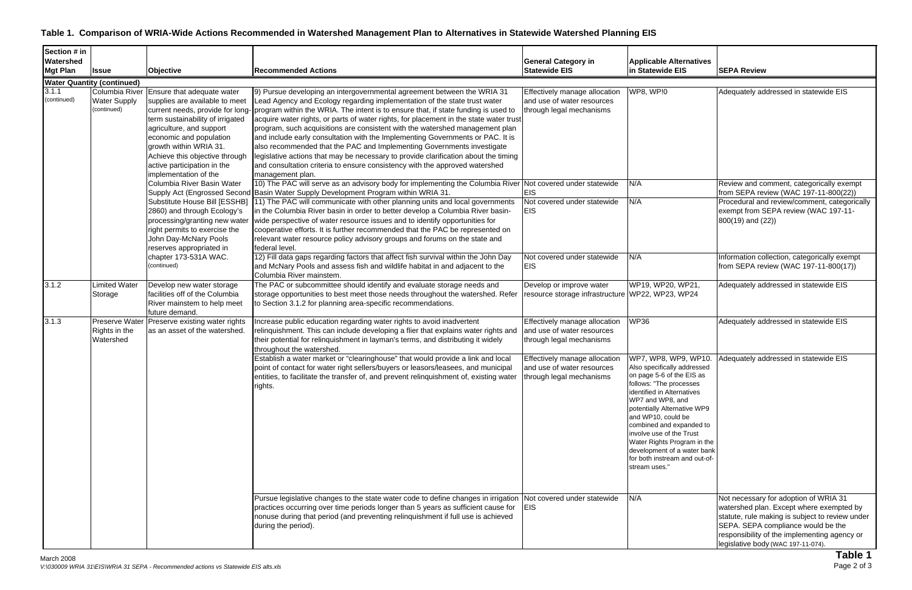#### **Table 1. Comparison of WRIA-Wide Actions Recommended in Watershed Management Plan to Alternatives in Statewide Watershed Planning EIS**

| Section # in<br>Watershed |                                    |                                                             |                                                                                                                                                                                                               |                                                             |                                                              |                                                                                   |
|---------------------------|------------------------------------|-------------------------------------------------------------|---------------------------------------------------------------------------------------------------------------------------------------------------------------------------------------------------------------|-------------------------------------------------------------|--------------------------------------------------------------|-----------------------------------------------------------------------------------|
| <b>Mgt Plan</b>           | <b>Issue</b>                       | Objective                                                   | <b>Recommended Actions</b>                                                                                                                                                                                    | <b>General Category in</b><br><b>Statewide EIS</b>          | <b>Applicable Alternatives</b><br>in Statewide EIS           | <b>SEPA Review</b>                                                                |
|                           |                                    |                                                             |                                                                                                                                                                                                               |                                                             |                                                              |                                                                                   |
|                           | <b>Water Quantity (continued)</b>  |                                                             |                                                                                                                                                                                                               |                                                             |                                                              |                                                                                   |
| 3.1.1<br>(continued)      | Columbia River                     | Ensure that adequate water                                  | 9) Pursue developing an intergovernmental agreement between the WRIA 31                                                                                                                                       | Effectively manage allocation<br>and use of water resources | WP8, WP!0                                                    | Adequately addressed in statewide EIS                                             |
|                           | <b>Water Supply</b><br>(continued) | supplies are available to meet                              | Lead Agency and Ecology regarding implementation of the state trust water                                                                                                                                     |                                                             |                                                              |                                                                                   |
|                           |                                    | term sustainability of irrigated                            | current needs, provide for long- program within the WRIA. The intent is to ensure that, if state funding is used to<br>acquire water rights, or parts of water rights, for placement in the state water trust | through legal mechanisms                                    |                                                              |                                                                                   |
|                           |                                    | agriculture, and support                                    | program, such acquisitions are consistent with the watershed management plan                                                                                                                                  |                                                             |                                                              |                                                                                   |
|                           |                                    | economic and population                                     | and include early consultation with the Implementing Governments or PAC. It is                                                                                                                                |                                                             |                                                              |                                                                                   |
|                           |                                    | growth within WRIA 31.                                      | also recommended that the PAC and Implementing Governments investigate                                                                                                                                        |                                                             |                                                              |                                                                                   |
|                           |                                    | Achieve this objective through                              | legislative actions that may be necessary to provide clarification about the timing                                                                                                                           |                                                             |                                                              |                                                                                   |
|                           |                                    | active participation in the                                 | and consultation criteria to ensure consistency with the approved watershed                                                                                                                                   |                                                             |                                                              |                                                                                   |
|                           |                                    | implementation of the                                       | management plan.                                                                                                                                                                                              |                                                             |                                                              |                                                                                   |
|                           |                                    | Columbia River Basin Water                                  | 10) The PAC will serve as an advisory body for implementing the Columbia River Not covered under statewide                                                                                                    |                                                             | N/A                                                          | Review and comment, categorically exempt                                          |
|                           |                                    |                                                             | Supply Act (Engrossed Second Basin Water Supply Development Program within WRIA 31.                                                                                                                           | <b>EIS</b>                                                  |                                                              | from SEPA review (WAC 197-11-800(22))                                             |
|                           |                                    | Substitute House Bill [ESSHB]                               | 11) The PAC will communicate with other planning units and local governments                                                                                                                                  | Not covered under statewide                                 | N/A                                                          | Procedural and review/comment, categorically                                      |
|                           |                                    | 2860) and through Ecology's                                 | in the Columbia River basin in order to better develop a Columbia River basin-                                                                                                                                | <b>EIS</b>                                                  |                                                              | exempt from SEPA review (WAC 197-11-                                              |
|                           |                                    | processing/granting new water                               | wide perspective of water resource issues and to identify opportunities for                                                                                                                                   |                                                             |                                                              | $800(19)$ and $(22)$ )                                                            |
|                           |                                    | right permits to exercise the                               | cooperative efforts. It is further recommended that the PAC be represented on                                                                                                                                 |                                                             |                                                              |                                                                                   |
|                           |                                    | John Day-McNary Pools                                       | relevant water resource policy advisory groups and forums on the state and                                                                                                                                    |                                                             |                                                              |                                                                                   |
|                           |                                    | reserves appropriated in                                    | federal level.                                                                                                                                                                                                |                                                             |                                                              |                                                                                   |
|                           |                                    | chapter 173-531A WAC.                                       | 12) Fill data gaps regarding factors that affect fish survival within the John Day                                                                                                                            | Not covered under statewide                                 | N/A                                                          | Information collection, categorically exempt                                      |
|                           |                                    | (continued)                                                 | and McNary Pools and assess fish and wildlife habitat in and adjacent to the                                                                                                                                  | <b>EIS</b>                                                  |                                                              | from SEPA review (WAC 197-11-800(17))                                             |
|                           |                                    |                                                             | Columbia River mainstem.                                                                                                                                                                                      |                                                             |                                                              |                                                                                   |
| 3.1.2                     | imited Water                       | Develop new water storage<br>facilities off of the Columbia | The PAC or subcommittee should identify and evaluate storage needs and<br>storage opportunities to best meet those needs throughout the watershed. Refer resource storage infrastructure WP22, WP23, WP24     | Develop or improve water                                    | WP19, WP20, WP21,                                            | Adequately addressed in statewide EIS                                             |
|                           | Storage                            | River mainstem to help meet                                 | to Section 3.1.2 for planning area-specific recommendations.                                                                                                                                                  |                                                             |                                                              |                                                                                   |
|                           |                                    | future demand.                                              |                                                                                                                                                                                                               |                                                             |                                                              |                                                                                   |
| 3.1.3                     | Preserve Water                     | Preserve existing water rights                              | Increase public education regarding water rights to avoid inadvertent                                                                                                                                         | Effectively manage allocation                               | <b>WP36</b>                                                  | Adequately addressed in statewide EIS                                             |
|                           | Rights in the                      | as an asset of the watershed.                               | relinquishment. This can include developing a flier that explains water rights and                                                                                                                            | and use of water resources                                  |                                                              |                                                                                   |
|                           | Watershed                          |                                                             | their potential for relinguishment in layman's terms, and distributing it widely                                                                                                                              | through legal mechanisms                                    |                                                              |                                                                                   |
|                           |                                    |                                                             | throughout the watershed.                                                                                                                                                                                     |                                                             |                                                              |                                                                                   |
|                           |                                    |                                                             | Establish a water market or "clearinghouse" that would provide a link and local                                                                                                                               | Effectively manage allocation                               | WP7, WP8, WP9, WP10.                                         | Adequately addressed in statewide EIS                                             |
|                           |                                    |                                                             | point of contact for water right sellers/buyers or leasors/leasees, and municipal                                                                                                                             | and use of water resources                                  | Also specifically addressed                                  |                                                                                   |
|                           |                                    |                                                             | entities, to facilitate the transfer of, and prevent relinguishment of, existing water through legal mechanisms                                                                                               |                                                             | on page 5-6 of the EIS as                                    |                                                                                   |
|                           |                                    |                                                             | rights.                                                                                                                                                                                                       |                                                             | follows: "The processes                                      |                                                                                   |
|                           |                                    |                                                             |                                                                                                                                                                                                               |                                                             | identified in Alternatives<br>WP7 and WP8, and               |                                                                                   |
|                           |                                    |                                                             |                                                                                                                                                                                                               |                                                             | potentially Alternative WP9                                  |                                                                                   |
|                           |                                    |                                                             |                                                                                                                                                                                                               |                                                             | and WP10, could be                                           |                                                                                   |
|                           |                                    |                                                             |                                                                                                                                                                                                               |                                                             | combined and expanded to                                     |                                                                                   |
|                           |                                    |                                                             |                                                                                                                                                                                                               |                                                             | involve use of the Trust                                     |                                                                                   |
|                           |                                    |                                                             |                                                                                                                                                                                                               |                                                             | Water Rights Program in the                                  |                                                                                   |
|                           |                                    |                                                             |                                                                                                                                                                                                               |                                                             | development of a water bank<br>for both instream and out-of- |                                                                                   |
|                           |                                    |                                                             |                                                                                                                                                                                                               |                                                             | stream uses."                                                |                                                                                   |
|                           |                                    |                                                             |                                                                                                                                                                                                               |                                                             |                                                              |                                                                                   |
|                           |                                    |                                                             |                                                                                                                                                                                                               |                                                             |                                                              |                                                                                   |
|                           |                                    |                                                             |                                                                                                                                                                                                               |                                                             | N/A                                                          |                                                                                   |
|                           |                                    |                                                             | Pursue legislative changes to the state water code to define changes in irrigation Not covered under statewide<br>practices occurring over time periods longer than 5 years as sufficient cause for EIS       |                                                             |                                                              | Not necessary for adoption of WRIA 31<br>watershed plan. Except where exempted by |
|                           |                                    |                                                             | nonuse during that period (and preventing relinquishment if full use is achieved                                                                                                                              |                                                             |                                                              | statute, rule making is subject to review under                                   |
|                           |                                    |                                                             | during the period).                                                                                                                                                                                           |                                                             |                                                              | SEPA. SEPA compliance would be the                                                |
|                           |                                    |                                                             |                                                                                                                                                                                                               |                                                             |                                                              | responsibility of the implementing agency or                                      |
|                           |                                    |                                                             |                                                                                                                                                                                                               |                                                             |                                                              | legislative body (WAC 197-11-074).                                                |
|                           |                                    |                                                             |                                                                                                                                                                                                               |                                                             |                                                              | Table 1                                                                           |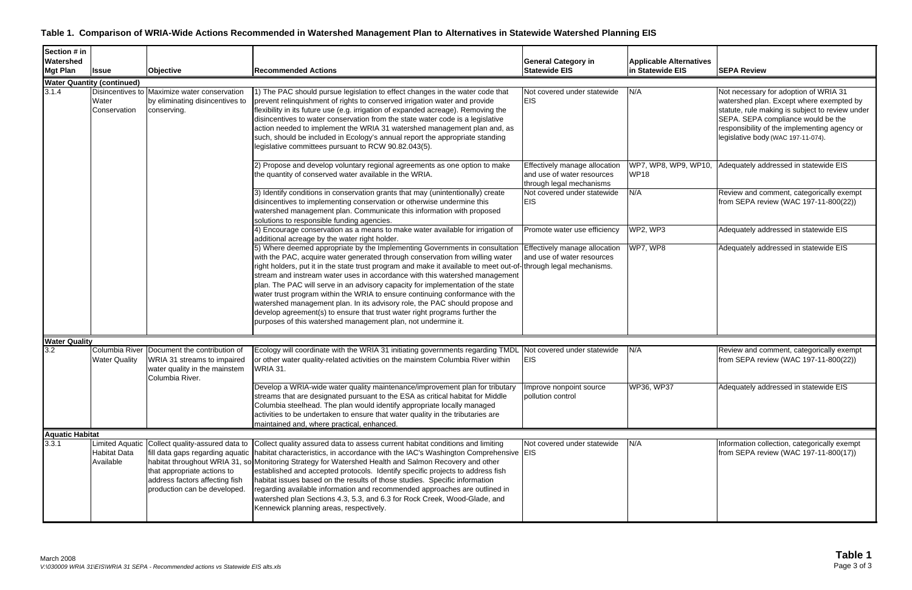### **Table 1. Comparison of WRIA-Wide Actions Recommended in Watershed Management Plan to Alternatives in Statewide Watershed Planning EIS**

| <b>General Category in</b><br><b>Statewide EIS</b>                                       | <b>Applicable Alternatives</b><br>in Statewide EIS | <b>SEPA Review</b>                                                                                                                                                                                                                                               |
|------------------------------------------------------------------------------------------|----------------------------------------------------|------------------------------------------------------------------------------------------------------------------------------------------------------------------------------------------------------------------------------------------------------------------|
|                                                                                          |                                                    |                                                                                                                                                                                                                                                                  |
| Not covered under statewide<br>EIS                                                       | N/A                                                | Not necessary for adoption of WRIA 31<br>watershed plan. Except where exempted by<br>statute, rule making is subject to review under<br>SEPA. SEPA compliance would be the<br>responsibility of the implementing agency or<br>legislative body (WAC 197-11-074). |
| Effectively manage allocation<br>and use of water resources<br>through legal mechanisms  | WP7, WP8, WP9, WP10,<br><b>WP18</b>                | Adequately addressed in statewide EIS                                                                                                                                                                                                                            |
| Not covered under statewide<br>EIS                                                       | N/A                                                | Review and comment, categorically exempt<br>from SEPA review (WAC 197-11-800(22))                                                                                                                                                                                |
| Promote water use efficiency                                                             | WP2, WP3                                           | Adequately addressed in statewide EIS                                                                                                                                                                                                                            |
| Effectively manage allocation<br>and use of water resources<br>through legal mechanisms. | WP7, WP8                                           | Adequately addressed in statewide EIS                                                                                                                                                                                                                            |
|                                                                                          |                                                    |                                                                                                                                                                                                                                                                  |
| Not covered under statewide<br>EIS                                                       | N/A                                                | Review and comment, categorically exempt<br>from SEPA review (WAC 197-11-800(22))                                                                                                                                                                                |

| 11/11      | is cylow and committed, categorically exempt<br>from SEPA review (WAC 197-11-800(22)) |
|------------|---------------------------------------------------------------------------------------|
| WP36, WP37 | Adequately addressed in statewide EIS                                                 |
|            |                                                                                       |

| N/A | Information collection, categorically exempt |
|-----|----------------------------------------------|
|     | from SEPA review (WAC 197-11-800(17))        |
|     |                                              |
|     |                                              |
|     |                                              |
|     |                                              |
|     |                                              |
|     |                                              |
|     |                                              |

| Section # in<br>Watershed<br><b>Mgt Plan</b> | <b>Issue</b>                                               | <b>Objective</b>                                                                                                                                                     | <b>Recommended Actions</b>                                                                                                                                                                                                                                                                                                                                                                                                                                                                                                                                                                                                                                                                                                              | <b>General Category in</b><br><b>Statewide EIS</b>                                                                                   | <b>Applicable Al</b><br>in Statewide I |
|----------------------------------------------|------------------------------------------------------------|----------------------------------------------------------------------------------------------------------------------------------------------------------------------|-----------------------------------------------------------------------------------------------------------------------------------------------------------------------------------------------------------------------------------------------------------------------------------------------------------------------------------------------------------------------------------------------------------------------------------------------------------------------------------------------------------------------------------------------------------------------------------------------------------------------------------------------------------------------------------------------------------------------------------------|--------------------------------------------------------------------------------------------------------------------------------------|----------------------------------------|
|                                              | <b>Water Quantity (continued)</b>                          |                                                                                                                                                                      |                                                                                                                                                                                                                                                                                                                                                                                                                                                                                                                                                                                                                                                                                                                                         |                                                                                                                                      |                                        |
| 3.1.4                                        | Water<br>Conservation                                      | Disincentives to Maximize water conservation<br>by eliminating disincentives to<br>conserving.                                                                       | 1) The PAC should pursue legislation to effect changes in the water code that<br>prevent relinquishment of rights to conserved irrigation water and provide<br>flexibility in its future use (e.g. irrigation of expanded acreage). Removing the<br>disincentives to water conservation from the state water code is a legislative<br>action needed to implement the WRIA 31 watershed management plan and, as<br>such, should be included in Ecology's annual report the appropriate standing<br>legislative committees pursuant to RCW 90.82.043(5).                                                                                                                                                                                  | Not covered under statewide<br><b>EIS</b>                                                                                            | N/A                                    |
|                                              |                                                            |                                                                                                                                                                      | 2) Propose and develop voluntary regional agreements as one option to make<br>the quantity of conserved water available in the WRIA.<br>3) Identify conditions in conservation grants that may (unintentionally) create<br>disincentives to implementing conservation or otherwise undermine this<br>watershed management plan. Communicate this information with proposed<br>solutions to responsible funding agencies.                                                                                                                                                                                                                                                                                                                | Effectively manage allocation<br>and use of water resources<br>through legal mechanisms<br>Not covered under statewide<br><b>EIS</b> | WP7, WP8, W<br><b>WP18</b><br>N/A      |
|                                              |                                                            |                                                                                                                                                                      | 4) Encourage conservation as a means to make water available for irrigation of<br>additional acreage by the water right holder.                                                                                                                                                                                                                                                                                                                                                                                                                                                                                                                                                                                                         | Promote water use efficiency                                                                                                         | WP2, WP3                               |
|                                              |                                                            |                                                                                                                                                                      | 5) Where deemed appropriate by the Implementing Governments in consultation<br>with the PAC, acquire water generated through conservation from willing water<br>right holders, put it in the state trust program and make it available to meet out-of<br>stream and instream water uses in accordance with this watershed management<br>plan. The PAC will serve in an advisory capacity for implementation of the state<br>water trust program within the WRIA to ensure continuing conformance with the<br>watershed management plan. In its advisory role, the PAC should propose and<br>develop agreement(s) to ensure that trust water right programs further the<br>purposes of this watershed management plan, not undermine it. | Effectively manage allocation<br>and use of water resources<br>through legal mechanisms.                                             | WP7, WP8                               |
| <b>Water Quality</b>                         |                                                            |                                                                                                                                                                      |                                                                                                                                                                                                                                                                                                                                                                                                                                                                                                                                                                                                                                                                                                                                         |                                                                                                                                      |                                        |
| 3.2                                          | Columbia River<br><b>Water Quality</b>                     | Document the contribution of<br>WRIA 31 streams to impaired<br>water quality in the mainstem<br>Columbia River.                                                      | Ecology will coordinate with the WRIA 31 initiating governments regarding TMDL<br>or other water quality-related activities on the mainstem Columbia River within<br>WRIA 31.                                                                                                                                                                                                                                                                                                                                                                                                                                                                                                                                                           | Not covered under statewide<br><b>EIS</b>                                                                                            | N/A                                    |
|                                              |                                                            |                                                                                                                                                                      | Develop a WRIA-wide water quality maintenance/improvement plan for tributary<br>streams that are designated pursuant to the ESA as critical habitat for Middle<br>Columbia steelhead. The plan would identify appropriate locally managed<br>activities to be undertaken to ensure that water quality in the tributaries are<br>maintained and, where practical, enhanced.                                                                                                                                                                                                                                                                                                                                                              | Improve nonpoint source<br>pollution control                                                                                         | WP36, WP37                             |
| <b>Aquatic Habitat</b>                       |                                                            |                                                                                                                                                                      |                                                                                                                                                                                                                                                                                                                                                                                                                                                                                                                                                                                                                                                                                                                                         |                                                                                                                                      |                                        |
| 3.3.1                                        | <b>Limited Aquatic</b><br><b>Habitat Data</b><br>Available | Collect quality-assured data to<br>fill data gaps regarding aquatic<br>that appropriate actions to<br>address factors affecting fish<br>production can be developed. | Collect quality assured data to assess current habitat conditions and limiting<br>habitat characteristics, in accordance with the IAC's Washington Comprehensive EIS<br>habitat throughout WRIA 31, so Monitoring Strategy for Watershed Health and Salmon Recovery and other<br>established and accepted protocols. Identify specific projects to address fish<br>habitat issues based on the results of those studies. Specific information<br>regarding available information and recommended approaches are outlined in<br>watershed plan Sections 4.3, 5.3, and 6.3 for Rock Creek, Wood-Glade, and<br>Kennewick planning areas, respectively.                                                                                     | Not covered under statewide                                                                                                          | N/A                                    |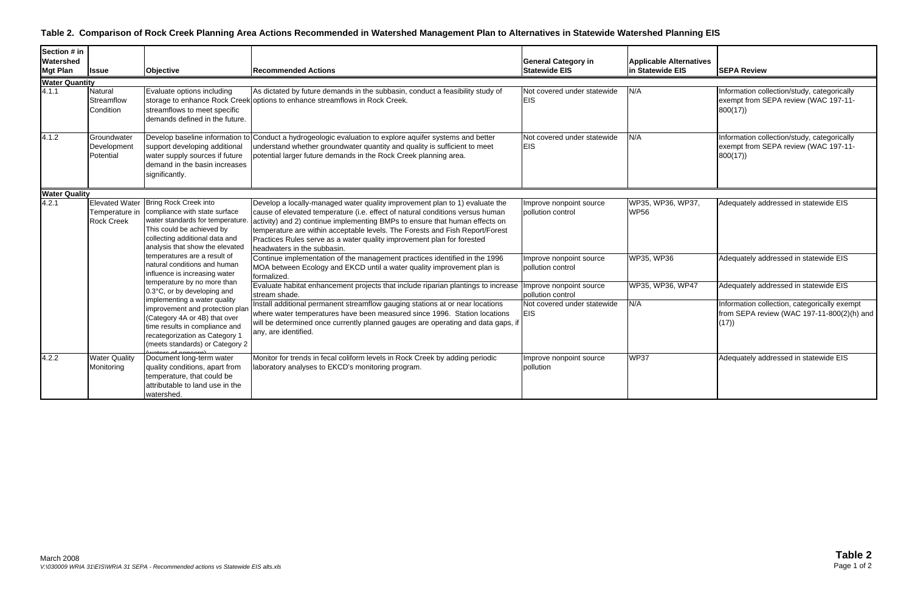### **Table 2. Comparison of Rock Creek Planning Area Actions Recommended in Watershed Management Plan to Alternatives in Statewide Watershed Planning EIS**

| Section # in<br>Watershed<br><b>Mgt Plan</b> | <b>Issue</b>                                                                                                                                                                                                                                                                                                   | Objective                                                                                                                                                                                                                                                                                                                                                                                                                                                             | <b>Recommended Actions</b>                                                                                                                                                                                                                                             | <b>General Category in</b><br><b>Statewide EIS</b>                                                                                                                  | <b>Applicable Alternatives</b><br>in Statewide EIS | <b>SEPA Review</b>                                                                                 |
|----------------------------------------------|----------------------------------------------------------------------------------------------------------------------------------------------------------------------------------------------------------------------------------------------------------------------------------------------------------------|-----------------------------------------------------------------------------------------------------------------------------------------------------------------------------------------------------------------------------------------------------------------------------------------------------------------------------------------------------------------------------------------------------------------------------------------------------------------------|------------------------------------------------------------------------------------------------------------------------------------------------------------------------------------------------------------------------------------------------------------------------|---------------------------------------------------------------------------------------------------------------------------------------------------------------------|----------------------------------------------------|----------------------------------------------------------------------------------------------------|
| <b>Water Quantity</b>                        |                                                                                                                                                                                                                                                                                                                |                                                                                                                                                                                                                                                                                                                                                                                                                                                                       |                                                                                                                                                                                                                                                                        |                                                                                                                                                                     |                                                    |                                                                                                    |
| 4.1.1                                        | Natural<br>Streamflow<br>Condition                                                                                                                                                                                                                                                                             | Evaluate options including<br>streamflows to meet specific<br>demands defined in the future.                                                                                                                                                                                                                                                                                                                                                                          | As dictated by future demands in the subbasin, conduct a feasibility study of<br>storage to enhance Rock Creek options to enhance streamflows in Rock Creek.                                                                                                           | Not covered under statewide<br><b>EIS</b>                                                                                                                           | N/A                                                | Information collection/study, categorically<br>exempt from SEPA review (WAC 197-11-<br>800(17)     |
| 4.1.2                                        | Groundwater<br>Development<br>Potential                                                                                                                                                                                                                                                                        | support developing additional<br>water supply sources if future<br>demand in the basin increases<br>significantly.                                                                                                                                                                                                                                                                                                                                                    | Develop baseline information to Conduct a hydrogeologic evaluation to explore aquifer systems and better<br>understand whether groundwater quantity and quality is sufficient to meet<br>potential larger future demands in the Rock Creek planning area.              | Not covered under statewide<br><b>EIS</b>                                                                                                                           | N/A                                                | Information collection/study, categorically<br>exempt from SEPA review (WAC 197-11-<br>800(17)     |
| <b>Water Quality</b>                         |                                                                                                                                                                                                                                                                                                                |                                                                                                                                                                                                                                                                                                                                                                                                                                                                       |                                                                                                                                                                                                                                                                        |                                                                                                                                                                     |                                                    |                                                                                                    |
| 4.2.1                                        | Elevated Water Bring Rock Creek into<br>Temperature in   compliance with state surface<br><b>Rock Creek</b><br>This could be achieved by<br>collecting additional data and<br>analysis that show the elevated<br>temperatures are a result of<br>natural conditions and human<br>influence is increasing water | Develop a locally-managed water quality improvement plan to 1) evaluate the<br>cause of elevated temperature (i.e. effect of natural conditions versus human<br>water standards for temperature. activity) and 2) continue implementing BMPs to ensure that human effects on<br>temperature are within acceptable levels. The Forests and Fish Report/Forest<br>Practices Rules serve as a water quality improvement plan for forested<br>headwaters in the subbasin. | Improve nonpoint source<br>pollution control                                                                                                                                                                                                                           | WP35, WP36, WP37,<br><b>WP56</b>                                                                                                                                    | Adequately addressed in statewide EIS              |                                                                                                    |
|                                              |                                                                                                                                                                                                                                                                                                                | temperature by no more than<br>0.3°C, or by developing and<br>implementing a water quality<br>improvement and protection plan<br>(Category 4A or 4B) that over<br>time results in compliance and<br>recategorization as Category 1<br>(meets standards) or Category 2                                                                                                                                                                                                 |                                                                                                                                                                                                                                                                        | Continue implementation of the management practices identified in the 1996<br>MOA between Ecology and EKCD until a water quality improvement plan is<br>formalized. | Improve nonpoint source<br>pollution control       | WP35, WP36                                                                                         |
|                                              |                                                                                                                                                                                                                                                                                                                |                                                                                                                                                                                                                                                                                                                                                                                                                                                                       | Evaluate habitat enhancement projects that include riparian plantings to increase<br>stream shade.                                                                                                                                                                     | Improve nonpoint source<br>pollution control                                                                                                                        | WP35, WP36, WP47                                   | Adequately addressed in statewide EIS                                                              |
|                                              |                                                                                                                                                                                                                                                                                                                |                                                                                                                                                                                                                                                                                                                                                                                                                                                                       | Install additional permanent streamflow gauging stations at or near locations<br>where water temperatures have been measured since 1996. Station locations<br>will be determined once currently planned gauges are operating and data gaps, if<br>any, are identified. | Not covered under statewide<br><b>EIS</b>                                                                                                                           | N/A                                                | Information collection, categorically exempt<br>from SEPA review (WAC 197-11-800(2)(h) and<br>(17) |
| 4.2.2                                        | <b>Water Quality</b><br>Monitoring                                                                                                                                                                                                                                                                             | Document long-term water<br>quality conditions, apart from<br>temperature, that could be<br>attributable to land use in the<br>watershed.                                                                                                                                                                                                                                                                                                                             | Monitor for trends in fecal coliform levels in Rock Creek by adding periodic<br>laboratory analyses to EKCD's monitoring program.                                                                                                                                      | Improve nonpoint source<br>pollution                                                                                                                                | <b>WP37</b>                                        | Adequately addressed in statewide EIS                                                              |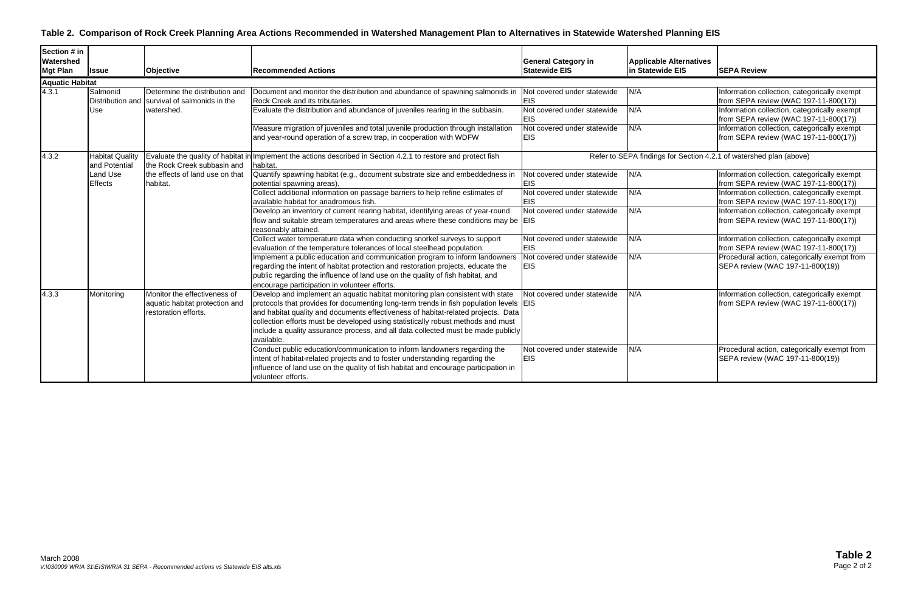### **Table 2. Comparison of Rock Creek Planning Area Actions Recommended in Watershed Management Plan to Alternatives in Statewide Watershed Planning EIS**

| Section # in<br>Watershed<br><b>Mgt Plan</b> | <b>Issue</b>                               | Objective                                                                              | <b>Recommended Actions</b>                                                                                                                                                                                                                                                                                                                                                                                                                           | <b>General Category in</b><br><b>Statewide EIS</b>                       | <b>Applicable Alternatives</b><br>in Statewide EIS | <b>SEPA Review</b>                                                                                                                    |
|----------------------------------------------|--------------------------------------------|----------------------------------------------------------------------------------------|------------------------------------------------------------------------------------------------------------------------------------------------------------------------------------------------------------------------------------------------------------------------------------------------------------------------------------------------------------------------------------------------------------------------------------------------------|--------------------------------------------------------------------------|----------------------------------------------------|---------------------------------------------------------------------------------------------------------------------------------------|
| <b>Aquatic Habitat</b>                       |                                            |                                                                                        |                                                                                                                                                                                                                                                                                                                                                                                                                                                      |                                                                          |                                                    |                                                                                                                                       |
| 4.3.1                                        | Salmonid<br><b>Distribution and</b><br>Use | Determine the distribution and<br>survival of salmonids in the<br>watershed.           | Document and monitor the distribution and abundance of spawning salmonids in<br>Rock Creek and its tributaries.<br>Evaluate the distribution and abundance of juveniles rearing in the subbasin.                                                                                                                                                                                                                                                     | Not covered under statewide<br><b>EIS</b><br>Not covered under statewide | N/A<br>N/A                                         | Information collection, categorically exempt<br>from SEPA review (WAC 197-11-800(17))<br>Information collection, categorically exempt |
|                                              |                                            |                                                                                        | Measure migration of juveniles and total juvenile production through installation<br>and year-round operation of a screw trap, in cooperation with WDFW                                                                                                                                                                                                                                                                                              | <b>EIS</b><br>Not covered under statewide<br><b>EIS</b>                  | N/A                                                | from SEPA review (WAC 197-11-800(17))<br>Information collection, categorically exempt<br>from SEPA review (WAC 197-11-800(17))        |
| 4.3.2                                        | <b>Habitat Quality</b><br>and Potential    | Evaluate the quality of habitat i<br>the Rock Creek subbasin and                       | Implement the actions described in Section 4.2.1 to restore and protect fish<br>habitat.                                                                                                                                                                                                                                                                                                                                                             |                                                                          |                                                    | Refer to SEPA findings for Section 4.2.1 of watershed plan (above)                                                                    |
|                                              | Land Use<br><b>Effects</b>                 | the effects of land use on that<br>habitat.                                            | Quantify spawning habitat (e.g., document substrate size and embeddedness in<br>potential spawning areas).                                                                                                                                                                                                                                                                                                                                           | Not covered under statewide<br><b>EIS</b>                                | N/A                                                | Information collection, categorically exempt<br>from SEPA review (WAC 197-11-800(17))                                                 |
|                                              |                                            |                                                                                        | Collect additional information on passage barriers to help refine estimates of<br>available habitat for anadromous fish.                                                                                                                                                                                                                                                                                                                             | Not covered under statewide<br><b>EIS</b>                                | N/A                                                | Information collection, categorically exempt<br>from SEPA review (WAC 197-11-800(17))                                                 |
|                                              |                                            |                                                                                        | Develop an inventory of current rearing habitat, identifying areas of year-round<br>flow and suitable stream temperatures and areas where these conditions may be EIS<br>reasonably attained.                                                                                                                                                                                                                                                        | Not covered under statewide                                              | N/A                                                | Information collection, categorically exempt<br>from SEPA review (WAC 197-11-800(17))                                                 |
|                                              |                                            |                                                                                        | Collect water temperature data when conducting snorkel surveys to support<br>evaluation of the temperature tolerances of local steelhead population.                                                                                                                                                                                                                                                                                                 | Not covered under statewide<br><b>EIS</b>                                | N/A                                                | Information collection, categorically exempt<br>from SEPA review (WAC 197-11-800(17))                                                 |
|                                              |                                            |                                                                                        | Implement a public education and communication program to inform landowners<br>regarding the intent of habitat protection and restoration projects, educate the<br>public regarding the influence of land use on the quality of fish habitat, and<br>encourage participation in volunteer efforts.                                                                                                                                                   | Not covered under statewide<br><b>EIS</b>                                | N/A                                                | Procedural action, categorically exempt from<br>SEPA review (WAC 197-11-800(19))                                                      |
| 4.3.3                                        | Monitoring                                 | Monitor the effectiveness of<br>aquatic habitat protection and<br>restoration efforts. | Develop and implement an aquatic habitat monitoring plan consistent with state<br>protocols that provides for documenting long-term trends in fish population levels EIS<br>and habitat quality and documents effectiveness of habitat-related projects. Data<br>collection efforts must be developed using statistically robust methods and must<br>include a quality assurance process, and all data collected must be made publicly<br>available. | Not covered under statewide                                              | N/A                                                | Information collection, categorically exempt<br>from SEPA review (WAC 197-11-800(17))                                                 |
|                                              |                                            |                                                                                        | Conduct public education/communication to inform landowners regarding the<br>intent of habitat-related projects and to foster understanding regarding the<br>influence of land use on the quality of fish habitat and encourage participation in<br>volunteer efforts.                                                                                                                                                                               | Not covered under statewide<br><b>EIS</b>                                | N/A                                                | Procedural action, categorically exempt from<br>SEPA review (WAC 197-11-800(19))                                                      |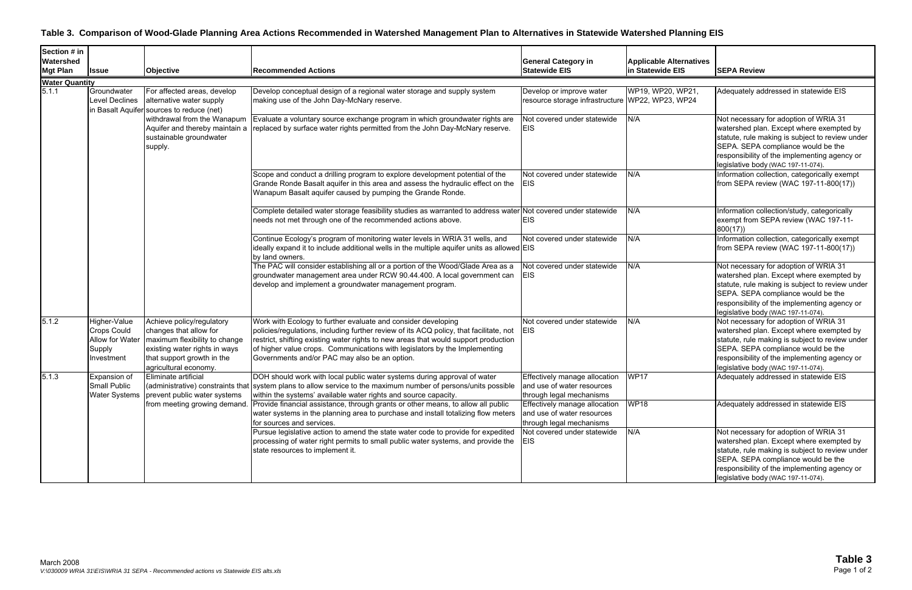### **Table 3. Comparison of Wood-Glade Planning Area Actions Recommended in Watershed Management Plan to Alternatives in Statewide Watershed Planning EIS**

| <b>Watershed</b><br><b>General Category in</b><br><b>Applicable Alternatives</b><br>in Statewide EIS<br><b>SEPA Review</b><br><b>Mgt Plan</b><br><b>Statewide EIS</b><br>Objective<br><b>Recommended Actions</b><br><b>Issue</b><br><b>Water Quantity</b><br>WP19, WP20, WP21<br>Groundwater<br>Develop conceptual design of a regional water storage and supply system<br>Adequately addressed in statewide EIS<br>For affected areas, develop<br>Develop or improve water<br>making use of the John Day-McNary reserve.<br>resource storage infrastructure WP22, WP23, WP24<br>Level Declines<br>alternative water supply<br>in Basalt Aquifer sources to reduce (net)<br>N/A<br>withdrawal from the Wanapum<br>Evaluate a voluntary source exchange program in which groundwater rights are<br>Not covered under statewide<br>Not necessary for adoption of WRIA 31<br>Aquifer and thereby maintain a<br>replaced by surface water rights permitted from the John Day-McNary reserve.<br>EIS<br>watershed plan. Except where exempted by<br>sustainable groundwater<br>statute, rule making is subject to review under<br>SEPA. SEPA compliance would be the<br>supply.<br>responsibility of the implementing agency or<br>legislative body (WAC 197-11-074).<br>Information collection, categorically exempt<br>Scope and conduct a drilling program to explore development potential of the<br>N/A<br>Not covered under statewide<br>Grande Ronde Basalt aquifer in this area and assess the hydraulic effect on the<br>from SEPA review (WAC 197-11-800(17))<br><b>EIS</b><br>Wanapum Basalt aquifer caused by pumping the Grande Ronde.<br>Complete detailed water storage feasibility studies as warranted to address water Not covered under statewide<br>N/A<br>Information collection/study, categorically<br>needs not met through one of the recommended actions above.<br><b>EIS</b><br>exempt from SEPA review (WAC 197-11-<br>800(17)<br>Information collection, categorically exempt<br>Continue Ecology's program of monitoring water levels in WRIA 31 wells, and<br>N/A<br>Not covered under statewide<br>ideally expand it to include additional wells in the multiple aquifer units as allowed $EIS$<br>from SEPA review (WAC 197-11-800(17))<br>by land owners.<br>The PAC will consider establishing all or a portion of the Wood/Glade Area as a<br>N/A<br>Not covered under statewide<br>Not necessary for adoption of WRIA 31<br>groundwater management area under RCW 90.44.400. A local government can<br><b>EIS</b><br>watershed plan. Except where exempted by<br>statute, rule making is subject to review under<br>develop and implement a groundwater management program.<br>SEPA. SEPA compliance would be the<br>responsibility of the implementing agency or<br>legislative body (WAC 197-11-074).<br>Work with Ecology to further evaluate and consider developing<br>N/A<br>Not necessary for adoption of WRIA 31<br>Higher-Value<br>Achieve policy/regulatory<br>Not covered under statewide<br>Crops Could<br>changes that allow for<br>policies/regulations, including further review of its ACQ policy, that facilitate, not<br><b>EIS</b><br>watershed plan. Except where exempted by<br>Allow for Water<br>maximum flexibility to change<br>restrict, shifting existing water rights to new areas that would support production<br>statute, rule making is subject to review under<br>of higher value crops. Communications with legislators by the Implementing<br>SEPA. SEPA compliance would be the<br>existing water rights in ways<br>Supply<br>that support growth in the<br>Governments and/or PAC may also be an option.<br>responsibility of the implementing agency or<br>Investment<br>agricultural economy.<br>legislative body (WAC 197-11-074).<br>Eliminate artificial<br>Adequately addressed in statewide EIS<br>DOH should work with local public water systems during approval of water<br>Effectively manage allocation WP17<br>Expansion of<br><b>Small Public</b><br>(administrative) constraints that system plans to allow service to the maximum number of persons/units possible<br>and use of water resources<br><b>Water Systems</b><br>prevent public water systems<br>within the systems' available water rights and source capacity.<br>through legal mechanisms<br><b>WP18</b><br>from meeting growing demand. Provide financial assistance, through grants or other means, to allow all public<br>Adequately addressed in statewide EIS<br>Effectively manage allocation<br>water systems in the planning area to purchase and install totalizing flow meters<br>and use of water resources<br>through legal mechanisms<br>for sources and services.<br>N/A<br>Pursue legislative action to amend the state water code to provide for expedited<br>Not covered under statewide<br>Not necessary for adoption of WRIA 31<br>watershed plan. Except where exempted by<br>processing of water right permits to small public water systems, and provide the<br><b>EIS</b><br>statute, rule making is subject to review under<br>state resources to implement it.<br>SEPA. SEPA compliance would be the<br>responsibility of the implementing agency or | Section # in |  |  |  |  |                                    |
|----------------------------------------------------------------------------------------------------------------------------------------------------------------------------------------------------------------------------------------------------------------------------------------------------------------------------------------------------------------------------------------------------------------------------------------------------------------------------------------------------------------------------------------------------------------------------------------------------------------------------------------------------------------------------------------------------------------------------------------------------------------------------------------------------------------------------------------------------------------------------------------------------------------------------------------------------------------------------------------------------------------------------------------------------------------------------------------------------------------------------------------------------------------------------------------------------------------------------------------------------------------------------------------------------------------------------------------------------------------------------------------------------------------------------------------------------------------------------------------------------------------------------------------------------------------------------------------------------------------------------------------------------------------------------------------------------------------------------------------------------------------------------------------------------------------------------------------------------------------------------------------------------------------------------------------------------------------------------------------------------------------------------------------------------------------------------------------------------------------------------------------------------------------------------------------------------------------------------------------------------------------------------------------------------------------------------------------------------------------------------------------------------------------------------------------------------------------------------------------------------------------------------------------------------------------------------------------------------------------------------------------------------------------------------------------------------------------------------------------------------------------------------------------------------------------------------------------------------------------------------------------------------------------------------------------------------------------------------------------------------------------------------------------------------------------------------------------------------------------------------------------------------------------------------------------------------------------------------------------------------------------------------------------------------------------------------------------------------------------------------------------------------------------------------------------------------------------------------------------------------------------------------------------------------------------------------------------------------------------------------------------------------------------------------------------------------------------------------------------------------------------------------------------------------------------------------------------------------------------------------------------------------------------------------------------------------------------------------------------------------------------------------------------------------------------------------------------------------------------------------------------------------------------------------------------------------------------------------------------------------------------------------------------------------------------------------------------------------------------------------------------------------------------------------------------------------------------------------------------------------------------------------------------------------------------------------------------------------------------------------------------------------------------------------------------------------------------------------------------------------------------------------------------------------------------------------------------------------------------------------------------------------------------------------------------------------------------------------------------------------------------------------------------------------------------------------------------------------------------------------------------------------------------------------------------------------------------------------------|--------------|--|--|--|--|------------------------------------|
|                                                                                                                                                                                                                                                                                                                                                                                                                                                                                                                                                                                                                                                                                                                                                                                                                                                                                                                                                                                                                                                                                                                                                                                                                                                                                                                                                                                                                                                                                                                                                                                                                                                                                                                                                                                                                                                                                                                                                                                                                                                                                                                                                                                                                                                                                                                                                                                                                                                                                                                                                                                                                                                                                                                                                                                                                                                                                                                                                                                                                                                                                                                                                                                                                                                                                                                                                                                                                                                                                                                                                                                                                                                                                                                                                                                                                                                                                                                                                                                                                                                                                                                                                                                                                                                                                                                                                                                                                                                                                                                                                                                                                                                                                                                                                                                                                                                                                                                                                                                                                                                                                                                                                                                                                                  |              |  |  |  |  |                                    |
|                                                                                                                                                                                                                                                                                                                                                                                                                                                                                                                                                                                                                                                                                                                                                                                                                                                                                                                                                                                                                                                                                                                                                                                                                                                                                                                                                                                                                                                                                                                                                                                                                                                                                                                                                                                                                                                                                                                                                                                                                                                                                                                                                                                                                                                                                                                                                                                                                                                                                                                                                                                                                                                                                                                                                                                                                                                                                                                                                                                                                                                                                                                                                                                                                                                                                                                                                                                                                                                                                                                                                                                                                                                                                                                                                                                                                                                                                                                                                                                                                                                                                                                                                                                                                                                                                                                                                                                                                                                                                                                                                                                                                                                                                                                                                                                                                                                                                                                                                                                                                                                                                                                                                                                                                                  |              |  |  |  |  |                                    |
|                                                                                                                                                                                                                                                                                                                                                                                                                                                                                                                                                                                                                                                                                                                                                                                                                                                                                                                                                                                                                                                                                                                                                                                                                                                                                                                                                                                                                                                                                                                                                                                                                                                                                                                                                                                                                                                                                                                                                                                                                                                                                                                                                                                                                                                                                                                                                                                                                                                                                                                                                                                                                                                                                                                                                                                                                                                                                                                                                                                                                                                                                                                                                                                                                                                                                                                                                                                                                                                                                                                                                                                                                                                                                                                                                                                                                                                                                                                                                                                                                                                                                                                                                                                                                                                                                                                                                                                                                                                                                                                                                                                                                                                                                                                                                                                                                                                                                                                                                                                                                                                                                                                                                                                                                                  |              |  |  |  |  |                                    |
|                                                                                                                                                                                                                                                                                                                                                                                                                                                                                                                                                                                                                                                                                                                                                                                                                                                                                                                                                                                                                                                                                                                                                                                                                                                                                                                                                                                                                                                                                                                                                                                                                                                                                                                                                                                                                                                                                                                                                                                                                                                                                                                                                                                                                                                                                                                                                                                                                                                                                                                                                                                                                                                                                                                                                                                                                                                                                                                                                                                                                                                                                                                                                                                                                                                                                                                                                                                                                                                                                                                                                                                                                                                                                                                                                                                                                                                                                                                                                                                                                                                                                                                                                                                                                                                                                                                                                                                                                                                                                                                                                                                                                                                                                                                                                                                                                                                                                                                                                                                                                                                                                                                                                                                                                                  | 5.1.1        |  |  |  |  |                                    |
|                                                                                                                                                                                                                                                                                                                                                                                                                                                                                                                                                                                                                                                                                                                                                                                                                                                                                                                                                                                                                                                                                                                                                                                                                                                                                                                                                                                                                                                                                                                                                                                                                                                                                                                                                                                                                                                                                                                                                                                                                                                                                                                                                                                                                                                                                                                                                                                                                                                                                                                                                                                                                                                                                                                                                                                                                                                                                                                                                                                                                                                                                                                                                                                                                                                                                                                                                                                                                                                                                                                                                                                                                                                                                                                                                                                                                                                                                                                                                                                                                                                                                                                                                                                                                                                                                                                                                                                                                                                                                                                                                                                                                                                                                                                                                                                                                                                                                                                                                                                                                                                                                                                                                                                                                                  |              |  |  |  |  |                                    |
|                                                                                                                                                                                                                                                                                                                                                                                                                                                                                                                                                                                                                                                                                                                                                                                                                                                                                                                                                                                                                                                                                                                                                                                                                                                                                                                                                                                                                                                                                                                                                                                                                                                                                                                                                                                                                                                                                                                                                                                                                                                                                                                                                                                                                                                                                                                                                                                                                                                                                                                                                                                                                                                                                                                                                                                                                                                                                                                                                                                                                                                                                                                                                                                                                                                                                                                                                                                                                                                                                                                                                                                                                                                                                                                                                                                                                                                                                                                                                                                                                                                                                                                                                                                                                                                                                                                                                                                                                                                                                                                                                                                                                                                                                                                                                                                                                                                                                                                                                                                                                                                                                                                                                                                                                                  |              |  |  |  |  |                                    |
|                                                                                                                                                                                                                                                                                                                                                                                                                                                                                                                                                                                                                                                                                                                                                                                                                                                                                                                                                                                                                                                                                                                                                                                                                                                                                                                                                                                                                                                                                                                                                                                                                                                                                                                                                                                                                                                                                                                                                                                                                                                                                                                                                                                                                                                                                                                                                                                                                                                                                                                                                                                                                                                                                                                                                                                                                                                                                                                                                                                                                                                                                                                                                                                                                                                                                                                                                                                                                                                                                                                                                                                                                                                                                                                                                                                                                                                                                                                                                                                                                                                                                                                                                                                                                                                                                                                                                                                                                                                                                                                                                                                                                                                                                                                                                                                                                                                                                                                                                                                                                                                                                                                                                                                                                                  |              |  |  |  |  |                                    |
|                                                                                                                                                                                                                                                                                                                                                                                                                                                                                                                                                                                                                                                                                                                                                                                                                                                                                                                                                                                                                                                                                                                                                                                                                                                                                                                                                                                                                                                                                                                                                                                                                                                                                                                                                                                                                                                                                                                                                                                                                                                                                                                                                                                                                                                                                                                                                                                                                                                                                                                                                                                                                                                                                                                                                                                                                                                                                                                                                                                                                                                                                                                                                                                                                                                                                                                                                                                                                                                                                                                                                                                                                                                                                                                                                                                                                                                                                                                                                                                                                                                                                                                                                                                                                                                                                                                                                                                                                                                                                                                                                                                                                                                                                                                                                                                                                                                                                                                                                                                                                                                                                                                                                                                                                                  |              |  |  |  |  |                                    |
|                                                                                                                                                                                                                                                                                                                                                                                                                                                                                                                                                                                                                                                                                                                                                                                                                                                                                                                                                                                                                                                                                                                                                                                                                                                                                                                                                                                                                                                                                                                                                                                                                                                                                                                                                                                                                                                                                                                                                                                                                                                                                                                                                                                                                                                                                                                                                                                                                                                                                                                                                                                                                                                                                                                                                                                                                                                                                                                                                                                                                                                                                                                                                                                                                                                                                                                                                                                                                                                                                                                                                                                                                                                                                                                                                                                                                                                                                                                                                                                                                                                                                                                                                                                                                                                                                                                                                                                                                                                                                                                                                                                                                                                                                                                                                                                                                                                                                                                                                                                                                                                                                                                                                                                                                                  |              |  |  |  |  |                                    |
|                                                                                                                                                                                                                                                                                                                                                                                                                                                                                                                                                                                                                                                                                                                                                                                                                                                                                                                                                                                                                                                                                                                                                                                                                                                                                                                                                                                                                                                                                                                                                                                                                                                                                                                                                                                                                                                                                                                                                                                                                                                                                                                                                                                                                                                                                                                                                                                                                                                                                                                                                                                                                                                                                                                                                                                                                                                                                                                                                                                                                                                                                                                                                                                                                                                                                                                                                                                                                                                                                                                                                                                                                                                                                                                                                                                                                                                                                                                                                                                                                                                                                                                                                                                                                                                                                                                                                                                                                                                                                                                                                                                                                                                                                                                                                                                                                                                                                                                                                                                                                                                                                                                                                                                                                                  |              |  |  |  |  |                                    |
|                                                                                                                                                                                                                                                                                                                                                                                                                                                                                                                                                                                                                                                                                                                                                                                                                                                                                                                                                                                                                                                                                                                                                                                                                                                                                                                                                                                                                                                                                                                                                                                                                                                                                                                                                                                                                                                                                                                                                                                                                                                                                                                                                                                                                                                                                                                                                                                                                                                                                                                                                                                                                                                                                                                                                                                                                                                                                                                                                                                                                                                                                                                                                                                                                                                                                                                                                                                                                                                                                                                                                                                                                                                                                                                                                                                                                                                                                                                                                                                                                                                                                                                                                                                                                                                                                                                                                                                                                                                                                                                                                                                                                                                                                                                                                                                                                                                                                                                                                                                                                                                                                                                                                                                                                                  |              |  |  |  |  |                                    |
|                                                                                                                                                                                                                                                                                                                                                                                                                                                                                                                                                                                                                                                                                                                                                                                                                                                                                                                                                                                                                                                                                                                                                                                                                                                                                                                                                                                                                                                                                                                                                                                                                                                                                                                                                                                                                                                                                                                                                                                                                                                                                                                                                                                                                                                                                                                                                                                                                                                                                                                                                                                                                                                                                                                                                                                                                                                                                                                                                                                                                                                                                                                                                                                                                                                                                                                                                                                                                                                                                                                                                                                                                                                                                                                                                                                                                                                                                                                                                                                                                                                                                                                                                                                                                                                                                                                                                                                                                                                                                                                                                                                                                                                                                                                                                                                                                                                                                                                                                                                                                                                                                                                                                                                                                                  |              |  |  |  |  |                                    |
|                                                                                                                                                                                                                                                                                                                                                                                                                                                                                                                                                                                                                                                                                                                                                                                                                                                                                                                                                                                                                                                                                                                                                                                                                                                                                                                                                                                                                                                                                                                                                                                                                                                                                                                                                                                                                                                                                                                                                                                                                                                                                                                                                                                                                                                                                                                                                                                                                                                                                                                                                                                                                                                                                                                                                                                                                                                                                                                                                                                                                                                                                                                                                                                                                                                                                                                                                                                                                                                                                                                                                                                                                                                                                                                                                                                                                                                                                                                                                                                                                                                                                                                                                                                                                                                                                                                                                                                                                                                                                                                                                                                                                                                                                                                                                                                                                                                                                                                                                                                                                                                                                                                                                                                                                                  |              |  |  |  |  |                                    |
|                                                                                                                                                                                                                                                                                                                                                                                                                                                                                                                                                                                                                                                                                                                                                                                                                                                                                                                                                                                                                                                                                                                                                                                                                                                                                                                                                                                                                                                                                                                                                                                                                                                                                                                                                                                                                                                                                                                                                                                                                                                                                                                                                                                                                                                                                                                                                                                                                                                                                                                                                                                                                                                                                                                                                                                                                                                                                                                                                                                                                                                                                                                                                                                                                                                                                                                                                                                                                                                                                                                                                                                                                                                                                                                                                                                                                                                                                                                                                                                                                                                                                                                                                                                                                                                                                                                                                                                                                                                                                                                                                                                                                                                                                                                                                                                                                                                                                                                                                                                                                                                                                                                                                                                                                                  |              |  |  |  |  |                                    |
|                                                                                                                                                                                                                                                                                                                                                                                                                                                                                                                                                                                                                                                                                                                                                                                                                                                                                                                                                                                                                                                                                                                                                                                                                                                                                                                                                                                                                                                                                                                                                                                                                                                                                                                                                                                                                                                                                                                                                                                                                                                                                                                                                                                                                                                                                                                                                                                                                                                                                                                                                                                                                                                                                                                                                                                                                                                                                                                                                                                                                                                                                                                                                                                                                                                                                                                                                                                                                                                                                                                                                                                                                                                                                                                                                                                                                                                                                                                                                                                                                                                                                                                                                                                                                                                                                                                                                                                                                                                                                                                                                                                                                                                                                                                                                                                                                                                                                                                                                                                                                                                                                                                                                                                                                                  |              |  |  |  |  |                                    |
|                                                                                                                                                                                                                                                                                                                                                                                                                                                                                                                                                                                                                                                                                                                                                                                                                                                                                                                                                                                                                                                                                                                                                                                                                                                                                                                                                                                                                                                                                                                                                                                                                                                                                                                                                                                                                                                                                                                                                                                                                                                                                                                                                                                                                                                                                                                                                                                                                                                                                                                                                                                                                                                                                                                                                                                                                                                                                                                                                                                                                                                                                                                                                                                                                                                                                                                                                                                                                                                                                                                                                                                                                                                                                                                                                                                                                                                                                                                                                                                                                                                                                                                                                                                                                                                                                                                                                                                                                                                                                                                                                                                                                                                                                                                                                                                                                                                                                                                                                                                                                                                                                                                                                                                                                                  |              |  |  |  |  |                                    |
|                                                                                                                                                                                                                                                                                                                                                                                                                                                                                                                                                                                                                                                                                                                                                                                                                                                                                                                                                                                                                                                                                                                                                                                                                                                                                                                                                                                                                                                                                                                                                                                                                                                                                                                                                                                                                                                                                                                                                                                                                                                                                                                                                                                                                                                                                                                                                                                                                                                                                                                                                                                                                                                                                                                                                                                                                                                                                                                                                                                                                                                                                                                                                                                                                                                                                                                                                                                                                                                                                                                                                                                                                                                                                                                                                                                                                                                                                                                                                                                                                                                                                                                                                                                                                                                                                                                                                                                                                                                                                                                                                                                                                                                                                                                                                                                                                                                                                                                                                                                                                                                                                                                                                                                                                                  |              |  |  |  |  |                                    |
|                                                                                                                                                                                                                                                                                                                                                                                                                                                                                                                                                                                                                                                                                                                                                                                                                                                                                                                                                                                                                                                                                                                                                                                                                                                                                                                                                                                                                                                                                                                                                                                                                                                                                                                                                                                                                                                                                                                                                                                                                                                                                                                                                                                                                                                                                                                                                                                                                                                                                                                                                                                                                                                                                                                                                                                                                                                                                                                                                                                                                                                                                                                                                                                                                                                                                                                                                                                                                                                                                                                                                                                                                                                                                                                                                                                                                                                                                                                                                                                                                                                                                                                                                                                                                                                                                                                                                                                                                                                                                                                                                                                                                                                                                                                                                                                                                                                                                                                                                                                                                                                                                                                                                                                                                                  |              |  |  |  |  |                                    |
|                                                                                                                                                                                                                                                                                                                                                                                                                                                                                                                                                                                                                                                                                                                                                                                                                                                                                                                                                                                                                                                                                                                                                                                                                                                                                                                                                                                                                                                                                                                                                                                                                                                                                                                                                                                                                                                                                                                                                                                                                                                                                                                                                                                                                                                                                                                                                                                                                                                                                                                                                                                                                                                                                                                                                                                                                                                                                                                                                                                                                                                                                                                                                                                                                                                                                                                                                                                                                                                                                                                                                                                                                                                                                                                                                                                                                                                                                                                                                                                                                                                                                                                                                                                                                                                                                                                                                                                                                                                                                                                                                                                                                                                                                                                                                                                                                                                                                                                                                                                                                                                                                                                                                                                                                                  |              |  |  |  |  |                                    |
|                                                                                                                                                                                                                                                                                                                                                                                                                                                                                                                                                                                                                                                                                                                                                                                                                                                                                                                                                                                                                                                                                                                                                                                                                                                                                                                                                                                                                                                                                                                                                                                                                                                                                                                                                                                                                                                                                                                                                                                                                                                                                                                                                                                                                                                                                                                                                                                                                                                                                                                                                                                                                                                                                                                                                                                                                                                                                                                                                                                                                                                                                                                                                                                                                                                                                                                                                                                                                                                                                                                                                                                                                                                                                                                                                                                                                                                                                                                                                                                                                                                                                                                                                                                                                                                                                                                                                                                                                                                                                                                                                                                                                                                                                                                                                                                                                                                                                                                                                                                                                                                                                                                                                                                                                                  |              |  |  |  |  |                                    |
|                                                                                                                                                                                                                                                                                                                                                                                                                                                                                                                                                                                                                                                                                                                                                                                                                                                                                                                                                                                                                                                                                                                                                                                                                                                                                                                                                                                                                                                                                                                                                                                                                                                                                                                                                                                                                                                                                                                                                                                                                                                                                                                                                                                                                                                                                                                                                                                                                                                                                                                                                                                                                                                                                                                                                                                                                                                                                                                                                                                                                                                                                                                                                                                                                                                                                                                                                                                                                                                                                                                                                                                                                                                                                                                                                                                                                                                                                                                                                                                                                                                                                                                                                                                                                                                                                                                                                                                                                                                                                                                                                                                                                                                                                                                                                                                                                                                                                                                                                                                                                                                                                                                                                                                                                                  |              |  |  |  |  |                                    |
|                                                                                                                                                                                                                                                                                                                                                                                                                                                                                                                                                                                                                                                                                                                                                                                                                                                                                                                                                                                                                                                                                                                                                                                                                                                                                                                                                                                                                                                                                                                                                                                                                                                                                                                                                                                                                                                                                                                                                                                                                                                                                                                                                                                                                                                                                                                                                                                                                                                                                                                                                                                                                                                                                                                                                                                                                                                                                                                                                                                                                                                                                                                                                                                                                                                                                                                                                                                                                                                                                                                                                                                                                                                                                                                                                                                                                                                                                                                                                                                                                                                                                                                                                                                                                                                                                                                                                                                                                                                                                                                                                                                                                                                                                                                                                                                                                                                                                                                                                                                                                                                                                                                                                                                                                                  |              |  |  |  |  |                                    |
|                                                                                                                                                                                                                                                                                                                                                                                                                                                                                                                                                                                                                                                                                                                                                                                                                                                                                                                                                                                                                                                                                                                                                                                                                                                                                                                                                                                                                                                                                                                                                                                                                                                                                                                                                                                                                                                                                                                                                                                                                                                                                                                                                                                                                                                                                                                                                                                                                                                                                                                                                                                                                                                                                                                                                                                                                                                                                                                                                                                                                                                                                                                                                                                                                                                                                                                                                                                                                                                                                                                                                                                                                                                                                                                                                                                                                                                                                                                                                                                                                                                                                                                                                                                                                                                                                                                                                                                                                                                                                                                                                                                                                                                                                                                                                                                                                                                                                                                                                                                                                                                                                                                                                                                                                                  |              |  |  |  |  |                                    |
|                                                                                                                                                                                                                                                                                                                                                                                                                                                                                                                                                                                                                                                                                                                                                                                                                                                                                                                                                                                                                                                                                                                                                                                                                                                                                                                                                                                                                                                                                                                                                                                                                                                                                                                                                                                                                                                                                                                                                                                                                                                                                                                                                                                                                                                                                                                                                                                                                                                                                                                                                                                                                                                                                                                                                                                                                                                                                                                                                                                                                                                                                                                                                                                                                                                                                                                                                                                                                                                                                                                                                                                                                                                                                                                                                                                                                                                                                                                                                                                                                                                                                                                                                                                                                                                                                                                                                                                                                                                                                                                                                                                                                                                                                                                                                                                                                                                                                                                                                                                                                                                                                                                                                                                                                                  | 5.1.2        |  |  |  |  |                                    |
|                                                                                                                                                                                                                                                                                                                                                                                                                                                                                                                                                                                                                                                                                                                                                                                                                                                                                                                                                                                                                                                                                                                                                                                                                                                                                                                                                                                                                                                                                                                                                                                                                                                                                                                                                                                                                                                                                                                                                                                                                                                                                                                                                                                                                                                                                                                                                                                                                                                                                                                                                                                                                                                                                                                                                                                                                                                                                                                                                                                                                                                                                                                                                                                                                                                                                                                                                                                                                                                                                                                                                                                                                                                                                                                                                                                                                                                                                                                                                                                                                                                                                                                                                                                                                                                                                                                                                                                                                                                                                                                                                                                                                                                                                                                                                                                                                                                                                                                                                                                                                                                                                                                                                                                                                                  |              |  |  |  |  |                                    |
|                                                                                                                                                                                                                                                                                                                                                                                                                                                                                                                                                                                                                                                                                                                                                                                                                                                                                                                                                                                                                                                                                                                                                                                                                                                                                                                                                                                                                                                                                                                                                                                                                                                                                                                                                                                                                                                                                                                                                                                                                                                                                                                                                                                                                                                                                                                                                                                                                                                                                                                                                                                                                                                                                                                                                                                                                                                                                                                                                                                                                                                                                                                                                                                                                                                                                                                                                                                                                                                                                                                                                                                                                                                                                                                                                                                                                                                                                                                                                                                                                                                                                                                                                                                                                                                                                                                                                                                                                                                                                                                                                                                                                                                                                                                                                                                                                                                                                                                                                                                                                                                                                                                                                                                                                                  |              |  |  |  |  |                                    |
|                                                                                                                                                                                                                                                                                                                                                                                                                                                                                                                                                                                                                                                                                                                                                                                                                                                                                                                                                                                                                                                                                                                                                                                                                                                                                                                                                                                                                                                                                                                                                                                                                                                                                                                                                                                                                                                                                                                                                                                                                                                                                                                                                                                                                                                                                                                                                                                                                                                                                                                                                                                                                                                                                                                                                                                                                                                                                                                                                                                                                                                                                                                                                                                                                                                                                                                                                                                                                                                                                                                                                                                                                                                                                                                                                                                                                                                                                                                                                                                                                                                                                                                                                                                                                                                                                                                                                                                                                                                                                                                                                                                                                                                                                                                                                                                                                                                                                                                                                                                                                                                                                                                                                                                                                                  |              |  |  |  |  |                                    |
|                                                                                                                                                                                                                                                                                                                                                                                                                                                                                                                                                                                                                                                                                                                                                                                                                                                                                                                                                                                                                                                                                                                                                                                                                                                                                                                                                                                                                                                                                                                                                                                                                                                                                                                                                                                                                                                                                                                                                                                                                                                                                                                                                                                                                                                                                                                                                                                                                                                                                                                                                                                                                                                                                                                                                                                                                                                                                                                                                                                                                                                                                                                                                                                                                                                                                                                                                                                                                                                                                                                                                                                                                                                                                                                                                                                                                                                                                                                                                                                                                                                                                                                                                                                                                                                                                                                                                                                                                                                                                                                                                                                                                                                                                                                                                                                                                                                                                                                                                                                                                                                                                                                                                                                                                                  |              |  |  |  |  |                                    |
|                                                                                                                                                                                                                                                                                                                                                                                                                                                                                                                                                                                                                                                                                                                                                                                                                                                                                                                                                                                                                                                                                                                                                                                                                                                                                                                                                                                                                                                                                                                                                                                                                                                                                                                                                                                                                                                                                                                                                                                                                                                                                                                                                                                                                                                                                                                                                                                                                                                                                                                                                                                                                                                                                                                                                                                                                                                                                                                                                                                                                                                                                                                                                                                                                                                                                                                                                                                                                                                                                                                                                                                                                                                                                                                                                                                                                                                                                                                                                                                                                                                                                                                                                                                                                                                                                                                                                                                                                                                                                                                                                                                                                                                                                                                                                                                                                                                                                                                                                                                                                                                                                                                                                                                                                                  | 5.1.3        |  |  |  |  |                                    |
|                                                                                                                                                                                                                                                                                                                                                                                                                                                                                                                                                                                                                                                                                                                                                                                                                                                                                                                                                                                                                                                                                                                                                                                                                                                                                                                                                                                                                                                                                                                                                                                                                                                                                                                                                                                                                                                                                                                                                                                                                                                                                                                                                                                                                                                                                                                                                                                                                                                                                                                                                                                                                                                                                                                                                                                                                                                                                                                                                                                                                                                                                                                                                                                                                                                                                                                                                                                                                                                                                                                                                                                                                                                                                                                                                                                                                                                                                                                                                                                                                                                                                                                                                                                                                                                                                                                                                                                                                                                                                                                                                                                                                                                                                                                                                                                                                                                                                                                                                                                                                                                                                                                                                                                                                                  |              |  |  |  |  |                                    |
|                                                                                                                                                                                                                                                                                                                                                                                                                                                                                                                                                                                                                                                                                                                                                                                                                                                                                                                                                                                                                                                                                                                                                                                                                                                                                                                                                                                                                                                                                                                                                                                                                                                                                                                                                                                                                                                                                                                                                                                                                                                                                                                                                                                                                                                                                                                                                                                                                                                                                                                                                                                                                                                                                                                                                                                                                                                                                                                                                                                                                                                                                                                                                                                                                                                                                                                                                                                                                                                                                                                                                                                                                                                                                                                                                                                                                                                                                                                                                                                                                                                                                                                                                                                                                                                                                                                                                                                                                                                                                                                                                                                                                                                                                                                                                                                                                                                                                                                                                                                                                                                                                                                                                                                                                                  |              |  |  |  |  |                                    |
|                                                                                                                                                                                                                                                                                                                                                                                                                                                                                                                                                                                                                                                                                                                                                                                                                                                                                                                                                                                                                                                                                                                                                                                                                                                                                                                                                                                                                                                                                                                                                                                                                                                                                                                                                                                                                                                                                                                                                                                                                                                                                                                                                                                                                                                                                                                                                                                                                                                                                                                                                                                                                                                                                                                                                                                                                                                                                                                                                                                                                                                                                                                                                                                                                                                                                                                                                                                                                                                                                                                                                                                                                                                                                                                                                                                                                                                                                                                                                                                                                                                                                                                                                                                                                                                                                                                                                                                                                                                                                                                                                                                                                                                                                                                                                                                                                                                                                                                                                                                                                                                                                                                                                                                                                                  |              |  |  |  |  |                                    |
|                                                                                                                                                                                                                                                                                                                                                                                                                                                                                                                                                                                                                                                                                                                                                                                                                                                                                                                                                                                                                                                                                                                                                                                                                                                                                                                                                                                                                                                                                                                                                                                                                                                                                                                                                                                                                                                                                                                                                                                                                                                                                                                                                                                                                                                                                                                                                                                                                                                                                                                                                                                                                                                                                                                                                                                                                                                                                                                                                                                                                                                                                                                                                                                                                                                                                                                                                                                                                                                                                                                                                                                                                                                                                                                                                                                                                                                                                                                                                                                                                                                                                                                                                                                                                                                                                                                                                                                                                                                                                                                                                                                                                                                                                                                                                                                                                                                                                                                                                                                                                                                                                                                                                                                                                                  |              |  |  |  |  |                                    |
|                                                                                                                                                                                                                                                                                                                                                                                                                                                                                                                                                                                                                                                                                                                                                                                                                                                                                                                                                                                                                                                                                                                                                                                                                                                                                                                                                                                                                                                                                                                                                                                                                                                                                                                                                                                                                                                                                                                                                                                                                                                                                                                                                                                                                                                                                                                                                                                                                                                                                                                                                                                                                                                                                                                                                                                                                                                                                                                                                                                                                                                                                                                                                                                                                                                                                                                                                                                                                                                                                                                                                                                                                                                                                                                                                                                                                                                                                                                                                                                                                                                                                                                                                                                                                                                                                                                                                                                                                                                                                                                                                                                                                                                                                                                                                                                                                                                                                                                                                                                                                                                                                                                                                                                                                                  |              |  |  |  |  |                                    |
|                                                                                                                                                                                                                                                                                                                                                                                                                                                                                                                                                                                                                                                                                                                                                                                                                                                                                                                                                                                                                                                                                                                                                                                                                                                                                                                                                                                                                                                                                                                                                                                                                                                                                                                                                                                                                                                                                                                                                                                                                                                                                                                                                                                                                                                                                                                                                                                                                                                                                                                                                                                                                                                                                                                                                                                                                                                                                                                                                                                                                                                                                                                                                                                                                                                                                                                                                                                                                                                                                                                                                                                                                                                                                                                                                                                                                                                                                                                                                                                                                                                                                                                                                                                                                                                                                                                                                                                                                                                                                                                                                                                                                                                                                                                                                                                                                                                                                                                                                                                                                                                                                                                                                                                                                                  |              |  |  |  |  |                                    |
|                                                                                                                                                                                                                                                                                                                                                                                                                                                                                                                                                                                                                                                                                                                                                                                                                                                                                                                                                                                                                                                                                                                                                                                                                                                                                                                                                                                                                                                                                                                                                                                                                                                                                                                                                                                                                                                                                                                                                                                                                                                                                                                                                                                                                                                                                                                                                                                                                                                                                                                                                                                                                                                                                                                                                                                                                                                                                                                                                                                                                                                                                                                                                                                                                                                                                                                                                                                                                                                                                                                                                                                                                                                                                                                                                                                                                                                                                                                                                                                                                                                                                                                                                                                                                                                                                                                                                                                                                                                                                                                                                                                                                                                                                                                                                                                                                                                                                                                                                                                                                                                                                                                                                                                                                                  |              |  |  |  |  |                                    |
|                                                                                                                                                                                                                                                                                                                                                                                                                                                                                                                                                                                                                                                                                                                                                                                                                                                                                                                                                                                                                                                                                                                                                                                                                                                                                                                                                                                                                                                                                                                                                                                                                                                                                                                                                                                                                                                                                                                                                                                                                                                                                                                                                                                                                                                                                                                                                                                                                                                                                                                                                                                                                                                                                                                                                                                                                                                                                                                                                                                                                                                                                                                                                                                                                                                                                                                                                                                                                                                                                                                                                                                                                                                                                                                                                                                                                                                                                                                                                                                                                                                                                                                                                                                                                                                                                                                                                                                                                                                                                                                                                                                                                                                                                                                                                                                                                                                                                                                                                                                                                                                                                                                                                                                                                                  |              |  |  |  |  |                                    |
|                                                                                                                                                                                                                                                                                                                                                                                                                                                                                                                                                                                                                                                                                                                                                                                                                                                                                                                                                                                                                                                                                                                                                                                                                                                                                                                                                                                                                                                                                                                                                                                                                                                                                                                                                                                                                                                                                                                                                                                                                                                                                                                                                                                                                                                                                                                                                                                                                                                                                                                                                                                                                                                                                                                                                                                                                                                                                                                                                                                                                                                                                                                                                                                                                                                                                                                                                                                                                                                                                                                                                                                                                                                                                                                                                                                                                                                                                                                                                                                                                                                                                                                                                                                                                                                                                                                                                                                                                                                                                                                                                                                                                                                                                                                                                                                                                                                                                                                                                                                                                                                                                                                                                                                                                                  |              |  |  |  |  | legislative body (WAC 197-11-074). |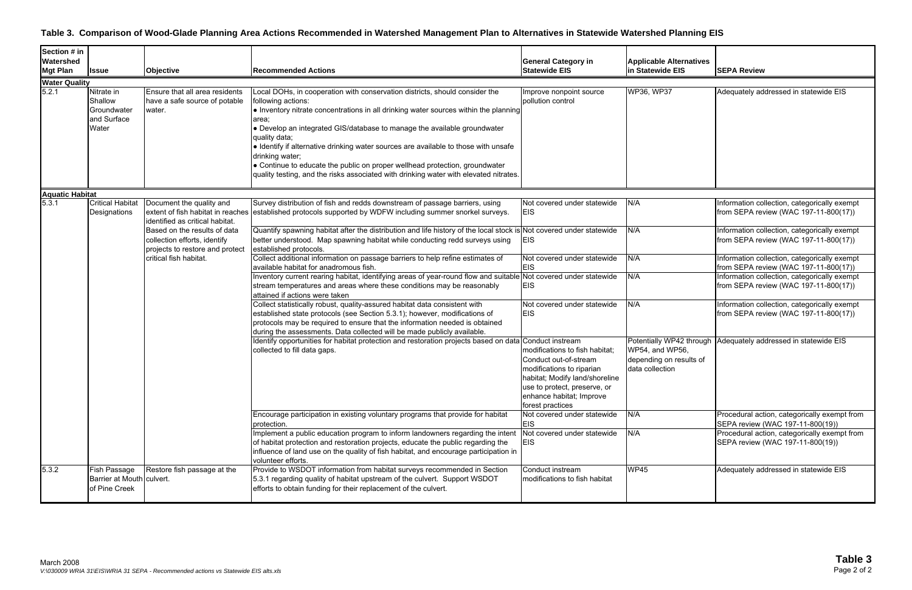### **Table 3. Comparison of Wood-Glade Planning Area Actions Recommended in Watershed Management Plan to Alternatives in Statewide Watershed Planning EIS**

| Section # in           |                                                              |                                                                                                 |                                                                                                                                                                                                                                                                                                                                                                                        |                                                                                                                                                                                                        |                                                               |                                                                                                                                                                      |
|------------------------|--------------------------------------------------------------|-------------------------------------------------------------------------------------------------|----------------------------------------------------------------------------------------------------------------------------------------------------------------------------------------------------------------------------------------------------------------------------------------------------------------------------------------------------------------------------------------|--------------------------------------------------------------------------------------------------------------------------------------------------------------------------------------------------------|---------------------------------------------------------------|----------------------------------------------------------------------------------------------------------------------------------------------------------------------|
| Watershed              |                                                              |                                                                                                 |                                                                                                                                                                                                                                                                                                                                                                                        | <b>General Category in</b>                                                                                                                                                                             | <b>Applicable Alternatives</b>                                |                                                                                                                                                                      |
| <b>Mgt Plan</b>        | <b>Issue</b>                                                 | Objective                                                                                       | <b>Recommended Actions</b>                                                                                                                                                                                                                                                                                                                                                             | <b>Statewide EIS</b>                                                                                                                                                                                   | in Statewide EIS                                              | <b>SEPA Review</b>                                                                                                                                                   |
| <b>Water Quality</b>   |                                                              |                                                                                                 |                                                                                                                                                                                                                                                                                                                                                                                        |                                                                                                                                                                                                        |                                                               |                                                                                                                                                                      |
| 5.2.1                  | Nitrate in<br>Shallow<br>Groundwater<br>and Surface<br>Water | Ensure that all area residents<br>have a safe source of potable<br>water.                       | Local DOHs, in cooperation with conservation districts, should consider the<br>following actions:<br>• Inventory nitrate concentrations in all drinking water sources within the planning<br>area;<br>• Develop an integrated GIS/database to manage the available groundwater<br>quality data;<br>• Identify if alternative drinking water sources are available to those with unsafe | Improve nonpoint source<br>pollution control                                                                                                                                                           | WP36, WP37                                                    | Adequately addressed in statewide EIS                                                                                                                                |
|                        |                                                              |                                                                                                 | drinking water;<br>• Continue to educate the public on proper wellhead protection, groundwater<br>quality testing, and the risks associated with drinking water with elevated nitrates.                                                                                                                                                                                                |                                                                                                                                                                                                        |                                                               |                                                                                                                                                                      |
| <b>Aquatic Habitat</b> |                                                              |                                                                                                 |                                                                                                                                                                                                                                                                                                                                                                                        |                                                                                                                                                                                                        |                                                               |                                                                                                                                                                      |
| 5.3.1                  | <b>Critical Habitat</b><br>Designations                      | Document the quality and<br>identified as critical habitat.                                     | Survey distribution of fish and redds downstream of passage barriers, using<br>extent of fish habitat in reaches established protocols supported by WDFW including summer snorkel surveys.                                                                                                                                                                                             | Not covered under statewide<br><b>EIS</b>                                                                                                                                                              | N/A                                                           | Information collection, categorically exempt<br>from SEPA review (WAC 197-11-800(17))                                                                                |
|                        |                                                              | Based on the results of data<br>collection efforts, identify<br>projects to restore and protect | Quantify spawning habitat after the distribution and life history of the local stock is Not covered under statewide<br>better understood. Map spawning habitat while conducting redd surveys using<br>established protocols.                                                                                                                                                           | <b>EIS</b>                                                                                                                                                                                             | N/A                                                           | Information collection, categorically exempt<br>from SEPA review (WAC 197-11-800(17))                                                                                |
|                        |                                                              | critical fish habitat.                                                                          | Collect additional information on passage barriers to help refine estimates of<br>available habitat for anadromous fish.                                                                                                                                                                                                                                                               | Not covered under statewide<br><b>EIS</b>                                                                                                                                                              | N/A                                                           | Information collection, categorically exempt<br>from SEPA review (WAC 197-11-800(17))                                                                                |
|                        |                                                              |                                                                                                 | Inventory current rearing habitat, identifying areas of year-round flow and suitable<br>stream temperatures and areas where these conditions may be reasonably<br>attained if actions were taken                                                                                                                                                                                       | Not covered under statewide<br><b>EIS</b>                                                                                                                                                              | N/A                                                           | Information collection, categorically exempt<br>from SEPA review (WAC 197-11-800(17))                                                                                |
|                        |                                                              |                                                                                                 | Collect statistically robust, quality-assured habitat data consistent with<br>established state protocols (see Section 5.3.1); however, modifications of<br>protocols may be required to ensure that the information needed is obtained<br>during the assessments. Data collected will be made publicly available.                                                                     | Not covered under statewide<br><b>EIS</b>                                                                                                                                                              | N/A                                                           | Information collection, categorically exempt<br>from SEPA review (WAC 197-11-800(17))                                                                                |
|                        |                                                              |                                                                                                 | Identify opportunities for habitat protection and restoration projects based on data Conduct instream<br>collected to fill data gaps.                                                                                                                                                                                                                                                  | modifications to fish habitat;<br>Conduct out-of-stream<br>modifications to riparian<br>habitat; Modify land/shoreline<br>use to protect, preserve, or<br>enhance habitat; Improve<br>forest practices | WP54, and WP56,<br>depending on results of<br>data collection | Potentially WP42 through Adequately addressed in statewide EIS                                                                                                       |
|                        |                                                              |                                                                                                 | Encourage participation in existing voluntary programs that provide for habitat<br>protection.<br>Implement a public education program to inform landowners regarding the intent<br>of habitat protection and restoration projects, educate the public regarding the<br>influence of land use on the quality of fish habitat, and encourage participation in<br>volunteer efforts.     | Not covered under statewide<br><b>EIS</b><br>Not covered under statewide<br><b>EIS</b>                                                                                                                 | N/A<br>N/A                                                    | Procedural action, categorically exempt from<br>SEPA review (WAC 197-11-800(19))<br>Procedural action, categorically exempt from<br>SEPA review (WAC 197-11-800(19)) |
| 5.3.2                  | Fish Passage<br>Barrier at Mouth culvert.<br>of Pine Creek   | Restore fish passage at the                                                                     | Provide to WSDOT information from habitat surveys recommended in Section<br>5.3.1 regarding quality of habitat upstream of the culvert. Support WSDOT<br>efforts to obtain funding for their replacement of the culvert.                                                                                                                                                               | Conduct instream<br>modifications to fish habitat                                                                                                                                                      | WP45                                                          | Adequately addressed in statewide EIS                                                                                                                                |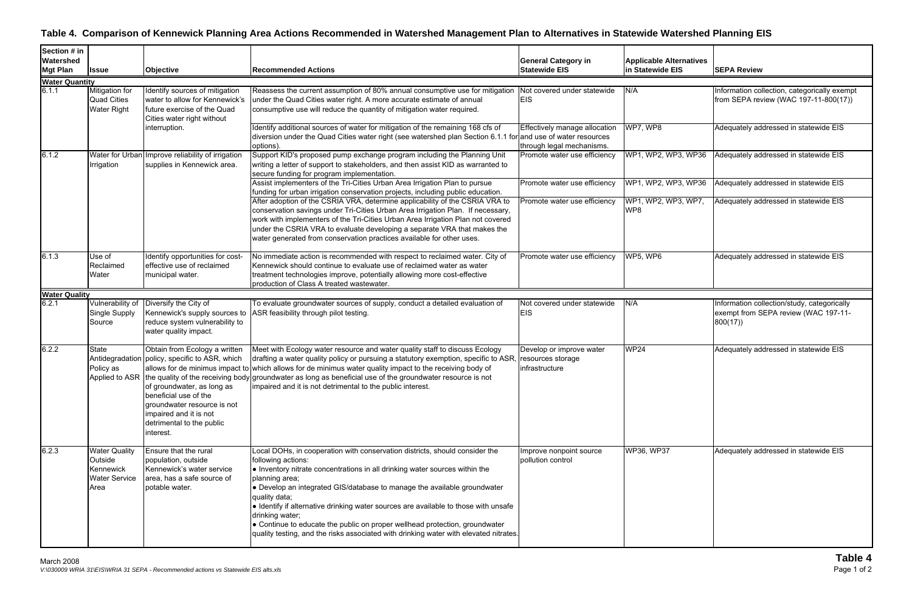# **Table 4. Comparison of Kennewick Planning Area Actions Recommended in Watershed Management Plan to Alternatives in Statewide Watershed Planning EIS**

| Section # in<br>Watershed<br><b>Mgt Plan</b> | <b>Issue</b>                                                                 | <b>Objective</b>                                                                                                                                                                                                                          | <b>Recommended Actions</b>                                                                                                                                                                                                                                                                                                                                                                                                                                                                                                                                                        | <b>General Category in</b><br><b>Statewide EIS</b>         | <b>Applicable Alternatives</b><br>in Statewide EIS | <b>SEPA Review</b>                                                                             |
|----------------------------------------------|------------------------------------------------------------------------------|-------------------------------------------------------------------------------------------------------------------------------------------------------------------------------------------------------------------------------------------|-----------------------------------------------------------------------------------------------------------------------------------------------------------------------------------------------------------------------------------------------------------------------------------------------------------------------------------------------------------------------------------------------------------------------------------------------------------------------------------------------------------------------------------------------------------------------------------|------------------------------------------------------------|----------------------------------------------------|------------------------------------------------------------------------------------------------|
| <b>Water Quantity</b>                        |                                                                              |                                                                                                                                                                                                                                           |                                                                                                                                                                                                                                                                                                                                                                                                                                                                                                                                                                                   |                                                            |                                                    |                                                                                                |
| 6.1.1                                        | Mitigation for<br><b>Quad Cities</b><br><b>Water Right</b>                   | Identify sources of mitigation<br>water to allow for Kennewick's<br>future exercise of the Quad<br>Cities water right without                                                                                                             | Reassess the current assumption of 80% annual consumptive use for mitigation<br>under the Quad Cities water right. A more accurate estimate of annual<br>consumptive use will reduce the quantity of mitigation water required.                                                                                                                                                                                                                                                                                                                                                   | Not covered under statewide<br><b>EIS</b>                  | N/A                                                | Information collection, categorically exempt<br>from SEPA review (WAC 197-11-800(17))          |
|                                              |                                                                              | interruption.                                                                                                                                                                                                                             | Identify additional sources of water for mitigation of the remaining 168 cfs of<br>diversion under the Quad Cities water right (see watershed plan Section 6.1.1 for and use of water resources<br>options).                                                                                                                                                                                                                                                                                                                                                                      | Effectively manage allocation<br>through legal mechanisms. | WP7, WP8                                           | Adequately addressed in statewide EIS                                                          |
| 6.1.2                                        | Water for Urban<br>Irrigation                                                | Improve reliability of irrigation<br>supplies in Kennewick area.                                                                                                                                                                          | Support KID's proposed pump exchange program including the Planning Unit<br>writing a letter of support to stakeholders, and then assist KID as warranted to<br>secure funding for program implementation.                                                                                                                                                                                                                                                                                                                                                                        | Promote water use efficiency                               | WP1, WP2, WP3, WP36                                | Adequately addressed in statewide EIS                                                          |
|                                              |                                                                              |                                                                                                                                                                                                                                           | Assist implementers of the Tri-Cities Urban Area Irrigation Plan to pursue<br>funding for urban irrigation conservation projects, including public education.                                                                                                                                                                                                                                                                                                                                                                                                                     | Promote water use efficiency                               | WP1, WP2, WP3, WP36                                | Adequately addressed in statewide EIS                                                          |
|                                              |                                                                              |                                                                                                                                                                                                                                           | After adoption of the CSRIA VRA, determine applicability of the CSRIA VRA to<br>conservation savings under Tri-Cities Urban Area Irrigation Plan. If necessary,<br>work with implementers of the Tri-Cities Urban Area Irrigation Plan not covered<br>under the CSRIA VRA to evaluate developing a separate VRA that makes the<br>water generated from conservation practices available for other uses.                                                                                                                                                                           | Promote water use efficiency                               | WP1, WP2, WP3, WP7,<br>WP8                         | Adequately addressed in statewide EIS                                                          |
| 6.1.3                                        | Use of<br>Reclaimed<br>Water                                                 | Identify opportunities for cost-<br>effective use of reclaimed<br>municipal water.                                                                                                                                                        | No immediate action is recommended with respect to reclaimed water. City of<br>Kennewick should continue to evaluate use of reclaimed water as water<br>treatment technologies improve, potentially allowing more cost-effective<br>production of Class A treated wastewater.                                                                                                                                                                                                                                                                                                     | Promote water use efficiency                               | WP5, WP6                                           | Adequately addressed in statewide EIS                                                          |
| <b>Water Quality</b>                         |                                                                              |                                                                                                                                                                                                                                           |                                                                                                                                                                                                                                                                                                                                                                                                                                                                                                                                                                                   |                                                            |                                                    |                                                                                                |
| 6.2.1                                        | Vulnerability of<br>Single Supply<br>Source                                  | Diversify the City of<br>Kennewick's supply sources to<br>reduce system vulnerability to<br>water quality impact.                                                                                                                         | To evaluate groundwater sources of supply, conduct a detailed evaluation of<br>ASR feasibility through pilot testing.                                                                                                                                                                                                                                                                                                                                                                                                                                                             | Not covered under statewide<br><b>EIS</b>                  | N/A                                                | Information collection/study, categorically<br>exempt from SEPA review (WAC 197-11-<br>800(17) |
| 6.2.2                                        | <b>State</b><br>Policy as                                                    | Obtain from Ecology a written<br>Antidegradation policy, specific to ASR, which<br>of groundwater, as long as<br>beneficial use of the<br>groundwater resource is not<br>impaired and it is not<br>detrimental to the public<br>interest. | Meet with Ecology water resource and water quality staff to discuss Ecology<br>drafting a water quality policy or pursuing a statutory exemption, specific to ASR, resources storage<br>allows for de minimus impact to which allows for de minimus water quality impact to the receiving body of<br>Applied to ASR the quality of the receiving body groundwater as long as beneficial use of the groundwater resource is not<br>impaired and it is not detrimental to the public interest.                                                                                      | Develop or improve water<br>infrastructure                 | <b>WP24</b>                                        | Adequately addressed in statewide EIS                                                          |
| 6.2.3                                        | <b>Water Quality</b><br>Outside<br>Kennewick<br><b>Water Service</b><br>Area | Ensure that the rural<br>population, outside<br>Kennewick's water service<br>area, has a safe source of<br>potable water.                                                                                                                 | Local DOHs, in cooperation with conservation districts, should consider the<br>following actions:<br>• Inventory nitrate concentrations in all drinking water sources within the<br>planning area;<br>• Develop an integrated GIS/database to manage the available groundwater<br>quality data;<br>· Identify if alternative drinking water sources are available to those with unsafe<br>drinking water;<br>• Continue to educate the public on proper wellhead protection, groundwater<br>quality testing, and the risks associated with drinking water with elevated nitrates. | Improve nonpoint source<br>pollution control               | <b>WP36, WP37</b>                                  | Adequately addressed in statewide EIS                                                          |